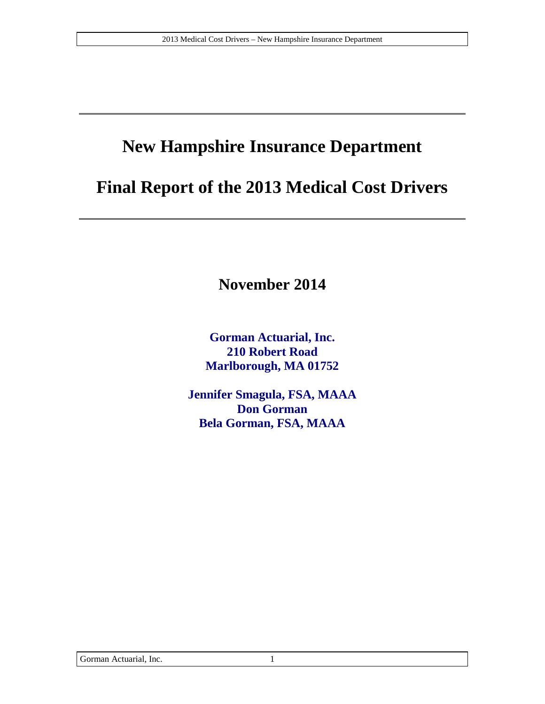# **New Hampshire Insurance Department**

# **Final Report of the 2013 Medical Cost Drivers**

**November 2014**

**Gorman Actuarial, Inc. 210 Robert Road Marlborough, MA 01752**

**Jennifer Smagula, FSA, MAAA Don Gorman Bela Gorman, FSA, MAAA**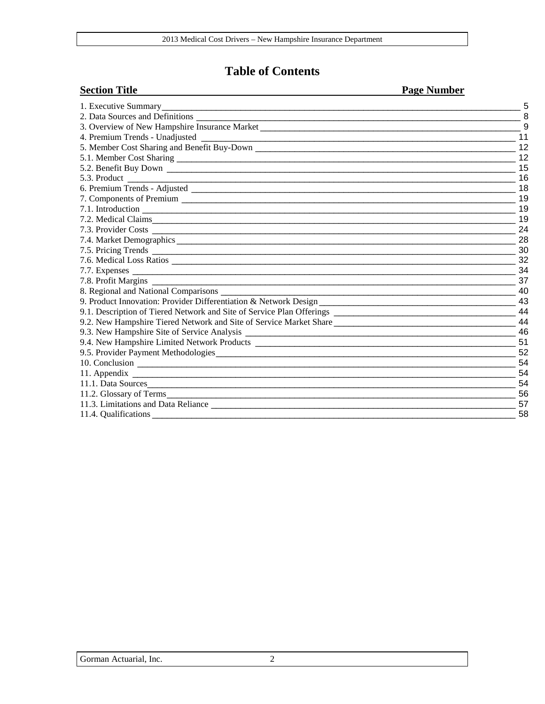#### **Table of Contents**

#### **Section Title Page Number**

| 1. Executive Summary_                                                                                                                   |                         |
|-----------------------------------------------------------------------------------------------------------------------------------------|-------------------------|
| 2. Data Sources and Definitions                                                                                                         |                         |
| 3. Overview of New Hampshire Insurance Market __________________________________                                                        |                         |
| 4. Premium Trends - Unadjusted<br><u> 1989 - Johann Johann Barbara, martin bashkar (b. 1989)</u>                                        | 11                      |
|                                                                                                                                         | 12                      |
|                                                                                                                                         |                         |
|                                                                                                                                         | $\overline{15}$         |
|                                                                                                                                         | 16                      |
|                                                                                                                                         | $\overline{18}$         |
|                                                                                                                                         | 19                      |
|                                                                                                                                         | 19                      |
|                                                                                                                                         | 19                      |
|                                                                                                                                         | 24                      |
|                                                                                                                                         | 28                      |
|                                                                                                                                         | 30                      |
|                                                                                                                                         | 32                      |
|                                                                                                                                         | 34                      |
| 7.8. Profit Margins                                                                                                                     | 37                      |
| 8. Regional and National Comparisons _____                                                                                              | 40                      |
|                                                                                                                                         |                         |
|                                                                                                                                         | 44                      |
| 9.2. New Hampshire Tiered Network and Site of Service Market Share                                                                      | 44                      |
|                                                                                                                                         |                         |
|                                                                                                                                         | $\frac{1}{\sqrt{2}}$ 51 |
| 9.5. Provider Payment Methodologies                                                                                                     | 52                      |
|                                                                                                                                         | 54                      |
|                                                                                                                                         | 54                      |
| 11.1. Data Sources<br><u> 1980 - Jan Barat, martin da basar da basar da basar da basar da basar da basar da basar da basar da basar</u> | 54                      |
| 11.2. Glossary of Terms                                                                                                                 | 56                      |
|                                                                                                                                         | 57                      |
|                                                                                                                                         | 58                      |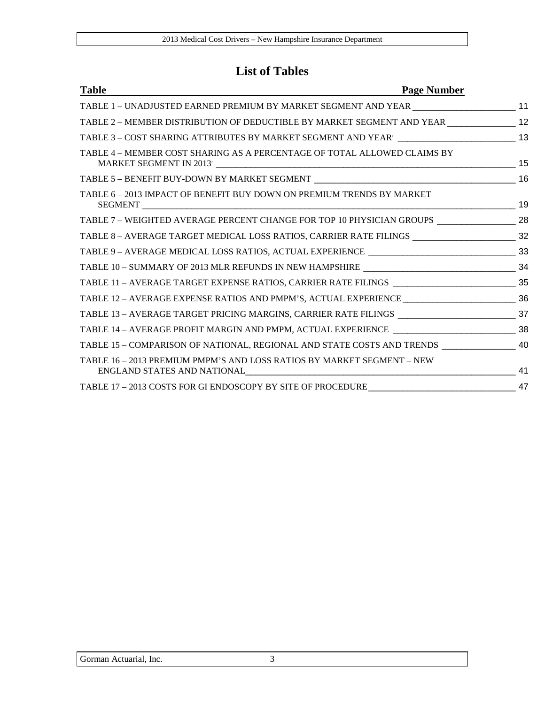#### **List of Tables**

| <b>Table</b>                                                                                           | <b>Page Number</b> |
|--------------------------------------------------------------------------------------------------------|--------------------|
| TABLE 1 - UNADJUSTED EARNED PREMIUM BY MARKET SEGMENT AND YEAR _______________________ 11              |                    |
| TABLE 2 - MEMBER DISTRIBUTION OF DEDUCTIBLE BY MARKET SEGMENT AND YEAR _______________ 12              |                    |
|                                                                                                        |                    |
| TABLE 4 – MEMBER COST SHARING AS A PERCENTAGE OF TOTAL ALLOWED CLAIMS BY                               |                    |
|                                                                                                        |                    |
| TABLE 6 – 2013 IMPACT OF BENEFIT BUY DOWN ON PREMIUM TRENDS BY MARKET                                  |                    |
| TABLE 7 - WEIGHTED AVERAGE PERCENT CHANGE FOR TOP 10 PHYSICIAN GROUPS __________________ 28            |                    |
| TABLE 8 - AVERAGE TARGET MEDICAL LOSS RATIOS, CARRIER RATE FILINGS ________________________________ 32 |                    |
|                                                                                                        |                    |
|                                                                                                        |                    |
|                                                                                                        |                    |
|                                                                                                        |                    |
|                                                                                                        |                    |
|                                                                                                        |                    |
| TABLE 15 - COMPARISON OF NATIONAL, REGIONAL AND STATE COSTS AND TRENDS ________________ 40             |                    |
| TABLE 16 – 2013 PREMIUM PMPM'S AND LOSS RATIOS BY MARKET SEGMENT – NEW                                 |                    |
|                                                                                                        |                    |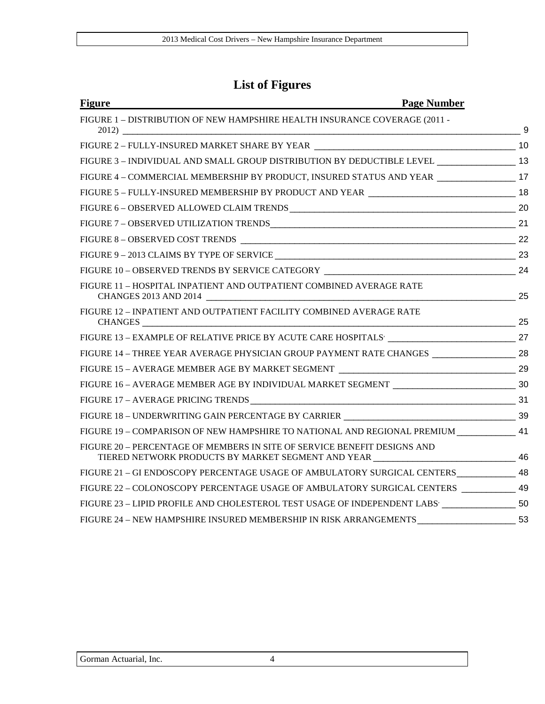#### **List of Figures**

| <b>Figure</b><br><b>Page Number</b>                                                                                                                               |  |          |
|-------------------------------------------------------------------------------------------------------------------------------------------------------------------|--|----------|
| FIGURE 1 - DISTRIBUTION OF NEW HAMPSHIRE HEALTH INSURANCE COVERAGE (2011 -                                                                                        |  |          |
|                                                                                                                                                                   |  | $\sim$ 9 |
|                                                                                                                                                                   |  |          |
| FIGURE 3 - INDIVIDUAL AND SMALL GROUP DISTRIBUTION BY DEDUCTIBLE LEVEL _________________ 13                                                                       |  |          |
| FIGURE 4 - COMMERCIAL MEMBERSHIP BY PRODUCT, INSURED STATUS AND YEAR _________________ 17                                                                         |  |          |
|                                                                                                                                                                   |  |          |
|                                                                                                                                                                   |  |          |
|                                                                                                                                                                   |  |          |
|                                                                                                                                                                   |  |          |
|                                                                                                                                                                   |  |          |
|                                                                                                                                                                   |  |          |
| FIGURE 11 - HOSPITAL INPATIENT AND OUTPATIENT COMBINED AVERAGE RATE<br>CHANGES 2013 AND 2014                                                                      |  |          |
| FIGURE 12 - INPATIENT AND OUTPATIENT FACILITY COMBINED AVERAGE RATE                                                                                               |  |          |
|                                                                                                                                                                   |  |          |
| FIGURE 14 - THREE YEAR AVERAGE PHYSICIAN GROUP PAYMENT RATE CHANGES ___________________ 28                                                                        |  |          |
|                                                                                                                                                                   |  |          |
|                                                                                                                                                                   |  |          |
|                                                                                                                                                                   |  |          |
|                                                                                                                                                                   |  |          |
| FIGURE 19 - COMPARISON OF NEW HAMPSHIRE TO NATIONAL AND REGIONAL PREMIUM 41                                                                                       |  |          |
| FIGURE 20 - PERCENTAGE OF MEMBERS IN SITE OF SERVICE BENEFIT DESIGNS AND<br>TIERED NETWORK PRODUCTS BY MARKET SEGMENT AND YEAR _______________________________ 46 |  |          |
| FIGURE 21 - GI ENDOSCOPY PERCENTAGE USAGE OF AMBULATORY SURGICAL CENTERS _____________ 48                                                                         |  |          |
| FIGURE 22 - COLONOSCOPY PERCENTAGE USAGE OF AMBULATORY SURGICAL CENTERS __________ 49                                                                             |  |          |
| FIGURE 23 - LIPID PROFILE AND CHOLESTEROL TEST USAGE OF INDEPENDENT LABS' ___________________ 50                                                                  |  |          |
| FIGURE 24 - NEW HAMPSHIRE INSURED MEMBERSHIP IN RISK ARRANGEMENTS _________________________ 53                                                                    |  |          |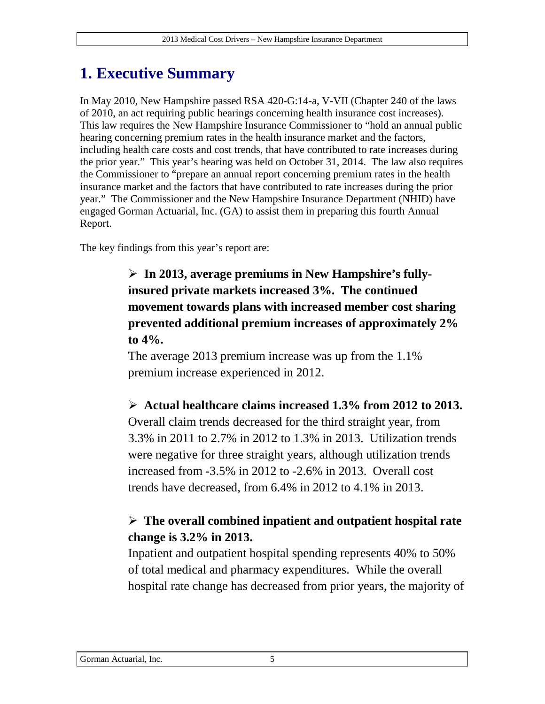# **1. Executive Summary**

In May 2010, New Hampshire passed RSA 420-G:14-a, V-VII (Chapter 240 of the laws of 2010, an act requiring public hearings concerning health insurance cost increases). This law requires the New Hampshire Insurance Commissioner to "hold an annual public hearing concerning premium rates in the health insurance market and the factors, including health care costs and cost trends, that have contributed to rate increases during the prior year." This year's hearing was held on October 31, 2014. The law also requires the Commissioner to "prepare an annual report concerning premium rates in the health insurance market and the factors that have contributed to rate increases during the prior year." The Commissioner and the New Hampshire Insurance Department (NHID) have engaged Gorman Actuarial, Inc. (GA) to assist them in preparing this fourth Annual Report.

The key findings from this year's report are:

 **In 2013, average premiums in New Hampshire's fullyinsured private markets increased 3%. The continued movement towards plans with increased member cost sharing prevented additional premium increases of approximately 2% to 4%.**

The average 2013 premium increase was up from the 1.1% premium increase experienced in 2012.

 **Actual healthcare claims increased 1.3% from 2012 to 2013.**  Overall claim trends decreased for the third straight year, from 3.3% in 2011 to 2.7% in 2012 to 1.3% in 2013. Utilization trends

were negative for three straight years, although utilization trends increased from -3.5% in 2012 to -2.6% in 2013. Overall cost trends have decreased, from 6.4% in 2012 to 4.1% in 2013.

#### **The overall combined inpatient and outpatient hospital rate change is 3.2% in 2013.**

Inpatient and outpatient hospital spending represents 40% to 50% of total medical and pharmacy expenditures. While the overall hospital rate change has decreased from prior years, the majority of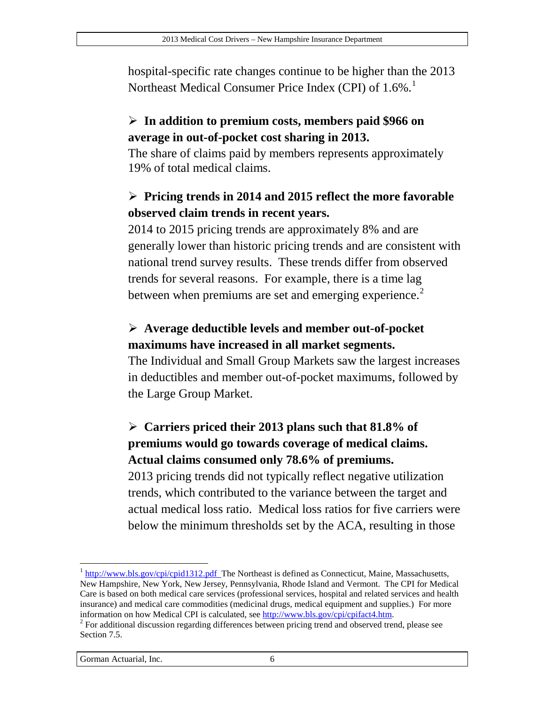hospital-specific rate changes continue to be higher than the 2013 Northeast Medical Consumer Price Index (CPI) of [1](#page-5-0).6%.<sup>1</sup>

#### **In addition to premium costs, members paid \$966 on average in out-of-pocket cost sharing in 2013.**

The share of claims paid by members represents approximately 19% of total medical claims.

#### **Pricing trends in 2014 and 2015 reflect the more favorable observed claim trends in recent years.**

2014 to 2015 pricing trends are approximately 8% and are generally lower than historic pricing trends and are consistent with national trend survey results. These trends differ from observed trends for several reasons. For example, there is a time lag between when premiums are set and emerging experience.<sup>[2](#page-5-1)</sup>

#### **Average deductible levels and member out-of-pocket maximums have increased in all market segments.**

The Individual and Small Group Markets saw the largest increases in deductibles and member out-of-pocket maximums, followed by the Large Group Market.

#### **Carriers priced their 2013 plans such that 81.8% of premiums would go towards coverage of medical claims. Actual claims consumed only 78.6% of premiums.**

2013 pricing trends did not typically reflect negative utilization trends, which contributed to the variance between the target and actual medical loss ratio. Medical loss ratios for five carriers were below the minimum thresholds set by the ACA, resulting in those

<span id="page-5-0"></span> $1 \frac{http://www.bls.gov/cpi/cpid1312.pdf}{http://www.bls.gov/cpi/cpid1312.pdf}$  The Northeast is defined as Connecticut, Maine, Massachusetts, New Hampshire, New York, New Jersey, Pennsylvania, Rhode Island and Vermont. The CPI for Medical Care is based on both medical care services (professional services, hospital and related services and health insurance) and medical care commodities (medicinal drugs, medical equipment and supplies.) For more  $\overline{a}$ 

<span id="page-5-1"></span><sup>&</sup>lt;sup>2</sup> For additional discussion regarding differences between pricing trend and observed trend, please see Section [7.5.](#page-29-1)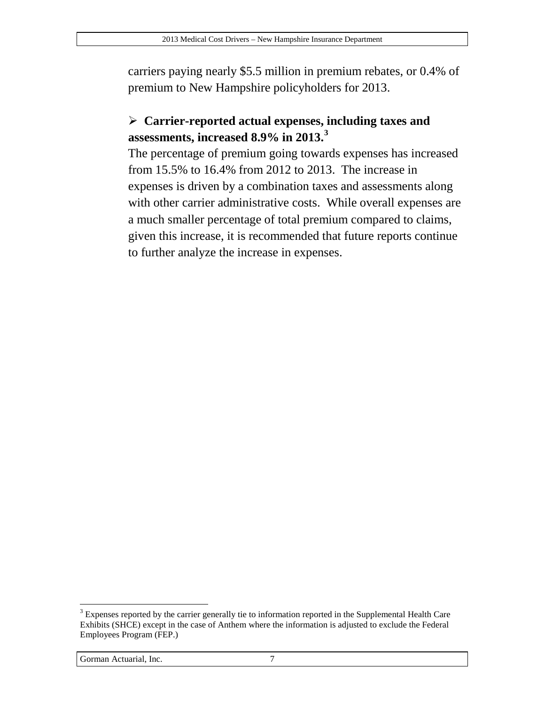carriers paying nearly \$5.5 million in premium rebates, or 0.4% of premium to New Hampshire policyholders for 2013.

#### **Carrier-reported actual expenses, including taxes and assessments, increased 8.9% in 2013. [3](#page-6-0)**

The percentage of premium going towards expenses has increased from 15.5% to 16.4% from 2012 to 2013. The increase in expenses is driven by a combination taxes and assessments along with other carrier administrative costs. While overall expenses are a much smaller percentage of total premium compared to claims, given this increase, it is recommended that future reports continue to further analyze the increase in expenses.

#### Gorman Actuarial, Inc. 7

<span id="page-6-0"></span><sup>&</sup>lt;sup>3</sup> Expenses reported by the carrier generally tie to information reported in the Supplemental Health Care Exhibits (SHCE) except in the case of Anthem where the information is adjusted to exclude the Federal Employees Program (FEP.)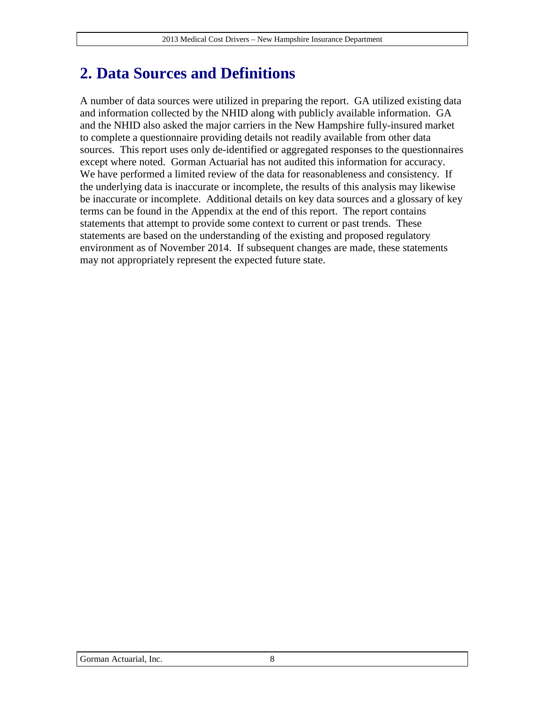# **2. Data Sources and Definitions**

A number of data sources were utilized in preparing the report. GA utilized existing data and information collected by the NHID along with publicly available information. GA and the NHID also asked the major carriers in the New Hampshire fully-insured market to complete a questionnaire providing details not readily available from other data sources. This report uses only de-identified or aggregated responses to the questionnaires except where noted. Gorman Actuarial has not audited this information for accuracy. We have performed a limited review of the data for reasonableness and consistency. If the underlying data is inaccurate or incomplete, the results of this analysis may likewise be inaccurate or incomplete. Additional details on key data sources and a glossary of key terms can be found in the Appendix at the end of this report. The report contains statements that attempt to provide some context to current or past trends. These statements are based on the understanding of the existing and proposed regulatory environment as of November 2014. If subsequent changes are made, these statements may not appropriately represent the expected future state.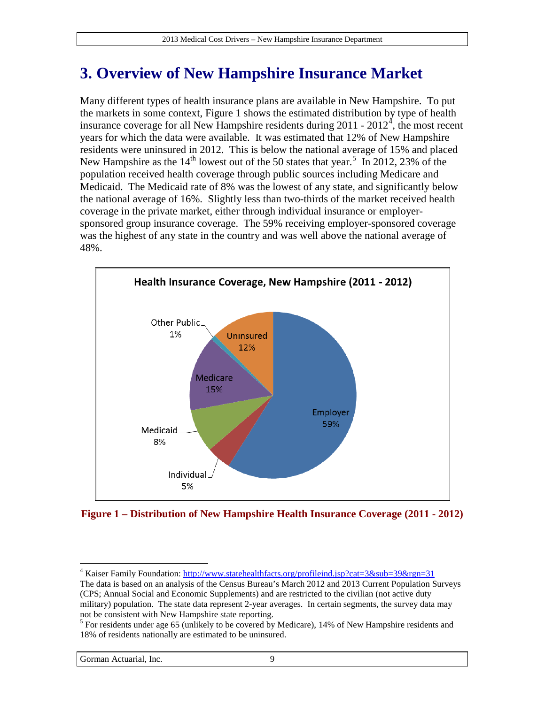# <span id="page-8-3"></span>**3. Overview of New Hampshire Insurance Market**

Many different types of health insurance plans are available in New Hampshire. To put the markets in some context, [Figure 1](#page-8-0) shows the estimated distribution by type of health insurance coverage for all New Hampshire residents during  $2011 - 2012<sup>4</sup>$  $2011 - 2012<sup>4</sup>$  $2011 - 2012<sup>4</sup>$ , the most recent years for which the data were available. It was estimated that 12% of New Hampshire residents were uninsured in 2012. This is below the national average of 15% and placed New Hampshire as the  $14<sup>th</sup>$  lowest out of the [5](#page-8-2)0 states that year.<sup>5</sup> In 2012, 23% of the population received health coverage through public sources including Medicare and Medicaid. The Medicaid rate of 8% was the lowest of any state, and significantly below the national average of 16%. Slightly less than two-thirds of the market received health coverage in the private market, either through individual insurance or employersponsored group insurance coverage. The 59% receiving employer-sponsored coverage was the highest of any state in the country and was well above the national average of 48%.



<span id="page-8-0"></span>**Figure 1 – Distribution of New Hampshire Health Insurance Coverage (2011 - 2012)**

<span id="page-8-1"></span><sup>&</sup>lt;sup>4</sup> Kaiser Family Foundation:<http://www.statehealthfacts.org/profileind.jsp?cat=3&sub=39&rgn=31> The data is based on an analysis of the Census Bureau's March 2012 and 2013 Current Population Surveys (CPS; Annual Social and Economic Supplements) and are restricted to the civilian (not active duty military) population. The state data represent 2-year averages. In certain segments, the survey data may not be consistent with New Hampshire state reporting.  $\overline{a}$ 

<span id="page-8-2"></span><sup>&</sup>lt;sup>5</sup> For residents under age 65 (unlikely to be covered by Medicare), 14% of New Hampshire residents and 18% of residents nationally are estimated to be uninsured.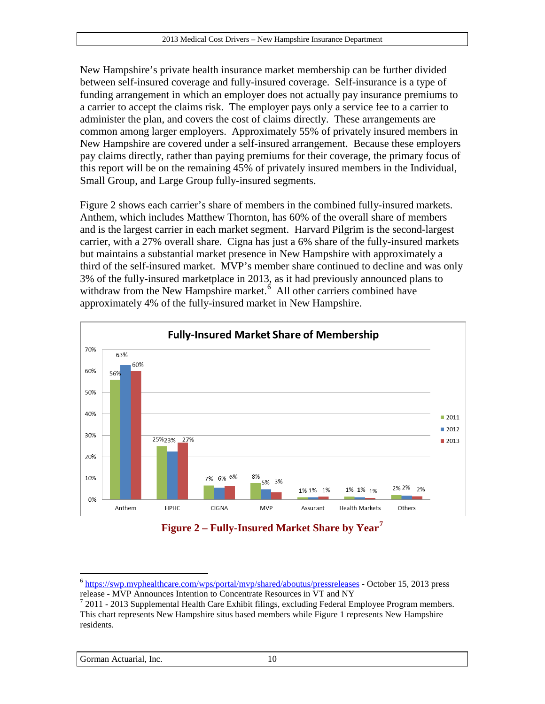New Hampshire's private health insurance market membership can be further divided between self-insured coverage and fully-insured coverage. Self-insurance is a type of funding arrangement in which an employer does not actually pay insurance premiums to a carrier to accept the claims risk. The employer pays only a service fee to a carrier to administer the plan, and covers the cost of claims directly. These arrangements are common among larger employers. Approximately 55% of privately insured members in New Hampshire are covered under a self-insured arrangement. Because these employers pay claims directly, rather than paying premiums for their coverage, the primary focus of this report will be on the remaining 45% of privately insured members in the Individual, Small Group, and Large Group fully-insured segments.

[Figure 2](#page-9-0) shows each carrier's share of members in the combined fully-insured markets. Anthem, which includes Matthew Thornton, has 60% of the overall share of members and is the largest carrier in each market segment. Harvard Pilgrim is the second-largest carrier, with a 27% overall share. Cigna has just a 6% share of the fully-insured markets but maintains a substantial market presence in New Hampshire with approximately a third of the self-insured market. MVP's member share continued to decline and was only 3% of the fully-insured marketplace in 2013, as it had previously announced plans to withdraw from the New Hampshire market.<sup>[6](#page-9-1)</sup> All other carriers combined have approximately 4% of the fully-insured market in New Hampshire.



**Figure 2 – Fully-Insured Market Share by Year[7](#page-9-2)**

<span id="page-9-1"></span><span id="page-9-0"></span> $\frac{6 \text{ https://swp.mvphealthcare.com/wps/portal/mvp/shared/aboutus/pressrelcases}}{6 \text{ https://swp.mvphealthcare.com/wps/portal/mvp/shared/aboutus/pressrelcases}}$  - October 15, 2013 press

<span id="page-9-2"></span> $\frac{7}{1}$  2011 - 2013 Supplemental Health Care Exhibit filings, excluding Federal Employee Program members. This chart represents New Hampshire situs based members while [Figure 1](#page-8-0) represents New Hampshire residents.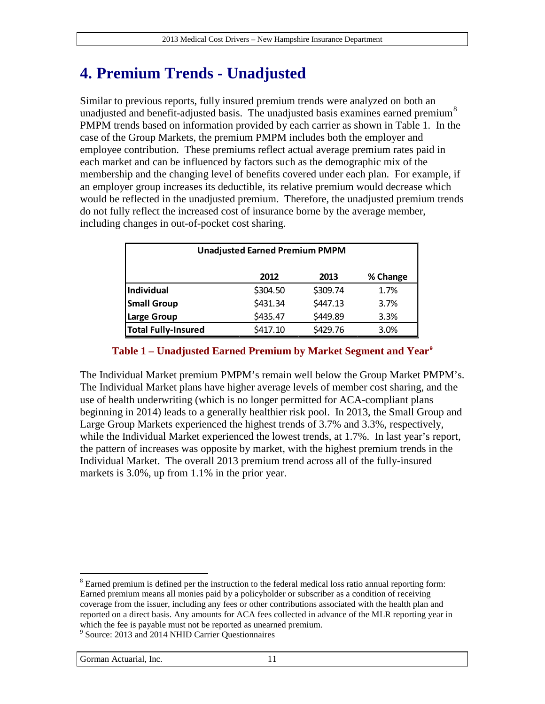# **4. Premium Trends - Unadjusted**

Similar to previous reports, fully insured premium trends were analyzed on both an unadjusted and benefit-adjusted basis. The unadjusted basis examines earned premium<sup>[8](#page-10-1)</sup> PMPM trends based on information provided by each carrier as shown in [Table 1.](#page-10-0) In the case of the Group Markets, the premium PMPM includes both the employer and employee contribution. These premiums reflect actual average premium rates paid in each market and can be influenced by factors such as the demographic mix of the membership and the changing level of benefits covered under each plan. For example, if an employer group increases its deductible, its relative premium would decrease which would be reflected in the unadjusted premium. Therefore, the unadjusted premium trends do not fully reflect the increased cost of insurance borne by the average member, including changes in out-of-pocket cost sharing.

| <b>Unadjusted Earned Premium PMPM</b> |          |          |          |  |  |  |  |
|---------------------------------------|----------|----------|----------|--|--|--|--|
|                                       | 2012     | 2013     | % Change |  |  |  |  |
| Individual                            | \$304.50 | \$309.74 | 1.7%     |  |  |  |  |
| <b>Small Group</b>                    | \$431.34 | \$447.13 | 3.7%     |  |  |  |  |
| Large Group                           | \$435.47 | \$449.89 | 3.3%     |  |  |  |  |
| <b>Total Fully-Insured</b>            | \$417.10 | \$429.76 | 3.0%     |  |  |  |  |

#### **Table 1 – Unadjusted Earned Premium by Market Segment and Year[9](#page-10-2)**

<span id="page-10-0"></span>The Individual Market premium PMPM's remain well below the Group Market PMPM's. The Individual Market plans have higher average levels of member cost sharing, and the use of health underwriting (which is no longer permitted for ACA-compliant plans beginning in 2014) leads to a generally healthier risk pool. In 2013, the Small Group and Large Group Markets experienced the highest trends of 3.7% and 3.3%, respectively, while the Individual Market experienced the lowest trends, at 1.7%. In last year's report, the pattern of increases was opposite by market, with the highest premium trends in the Individual Market. The overall 2013 premium trend across all of the fully-insured markets is 3.0%, up from 1.1% in the prior year.

<span id="page-10-1"></span><sup>&</sup>lt;sup>8</sup> Earned premium is defined per the instruction to the federal medical loss ratio annual reporting form: Earned premium means all monies paid by a policyholder or subscriber as a condition of receiving coverage from the issuer, including any fees or other contributions associated with the health plan and reported on a direct basis. Any amounts for ACA fees collected in advance of the MLR reporting year in which the fee is payable must not be reported as unearned premium.  $\overline{a}$ 

<span id="page-10-2"></span><sup>&</sup>lt;sup>9</sup> Source: 2013 and 2014 NHID Carrier Questionnaires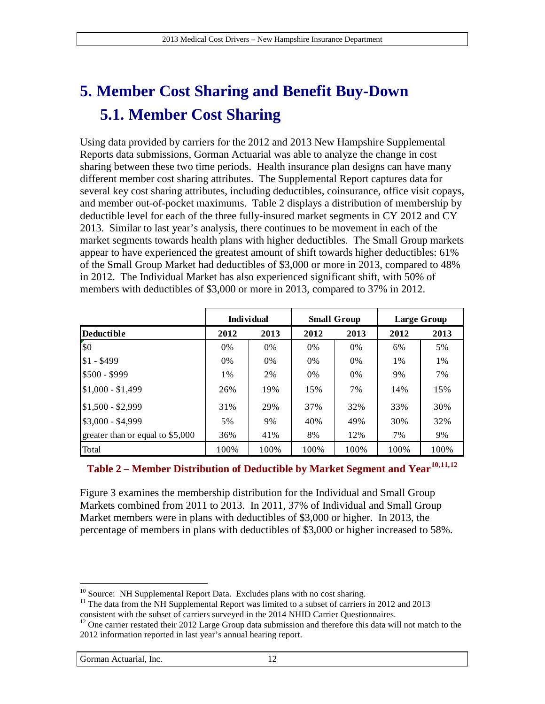# <span id="page-11-4"></span>**5. Member Cost Sharing and Benefit Buy-Down 5.1. Member Cost Sharing**

Using data provided by carriers for the 2012 and 2013 New Hampshire Supplemental Reports data submissions, Gorman Actuarial was able to analyze the change in cost sharing between these two time periods. Health insurance plan designs can have many different member cost sharing attributes. The Supplemental Report captures data for several key cost sharing attributes, including deductibles, coinsurance, office visit copays, and member out-of-pocket maximums. [Table 2](#page-11-0) displays a distribution of membership by deductible level for each of the three fully-insured market segments in CY 2012 and CY 2013. Similar to last year's analysis, there continues to be movement in each of the market segments towards health plans with higher deductibles. The Small Group markets appear to have experienced the greatest amount of shift towards higher deductibles: 61% of the Small Group Market had deductibles of \$3,000 or more in 2013, compared to 48% in 2012. The Individual Market has also experienced significant shift, with 50% of members with deductibles of \$3,000 or more in 2013, compared to 37% in 2012.

| <b>Individual</b>                |       |       |       | <b>Small Group</b> | Large Group |       |
|----------------------------------|-------|-------|-------|--------------------|-------------|-------|
| <b>Deductible</b>                | 2012  | 2013  | 2012  | 2013               | 2012        | 2013  |
| \$0                              | $0\%$ | $0\%$ | $0\%$ | $0\%$              | 6%          | 5%    |
| $$1 - $499$                      | $0\%$ | $0\%$ | $0\%$ | $0\%$              | $1\%$       | $1\%$ |
| $$500 - $999$                    | 1%    | 2%    | $0\%$ | 0%                 | 9%          | 7%    |
| $$1,000 - $1,499$                | 26%   | 19%   | 15%   | 7%                 | 14%         | 15%   |
| 1\$1.500 - \$2.999               | 31%   | 29%   | 37%   | 32%                | 33%         | 30%   |
| $$3,000 - $4,999$                | 5%    | 9%    | 40%   | 49%                | 30%         | 32%   |
| greater than or equal to \$5,000 | 36%   | 41%   | 8%    | 12%                | 7%          | 9%    |
| Total                            | 100%  | 100%  | 100%  | 100%               | 100%        | 100%  |

#### <span id="page-11-0"></span>**Table 2 – Member Distribution of Deductible by Market Segment and Year[10,](#page-11-1)[11,](#page-11-2)[12](#page-11-3)**

[Figure 3](#page-12-0) examines the membership distribution for the Individual and Small Group Markets combined from 2011 to 2013. In 2011, 37% of Individual and Small Group Market members were in plans with deductibles of \$3,000 or higher. In 2013, the percentage of members in plans with deductibles of \$3,000 or higher increased to 58%.

<span id="page-11-1"></span><sup>&</sup>lt;sup>10</sup> Source: NH Supplemental Report Data. Excludes plans with no cost sharing.

<span id="page-11-2"></span> $11$  The data from the NH Supplemental Report was limited to a subset of carriers in 2012 and 2013 consistent with the subset of carriers surveyed in the 2014 NHID Carrier Questionnaires.

<span id="page-11-3"></span> $12$  One carrier restated their 2012 Large Group data submission and therefore this data will not match to the 2012 information reported in last year's annual hearing report.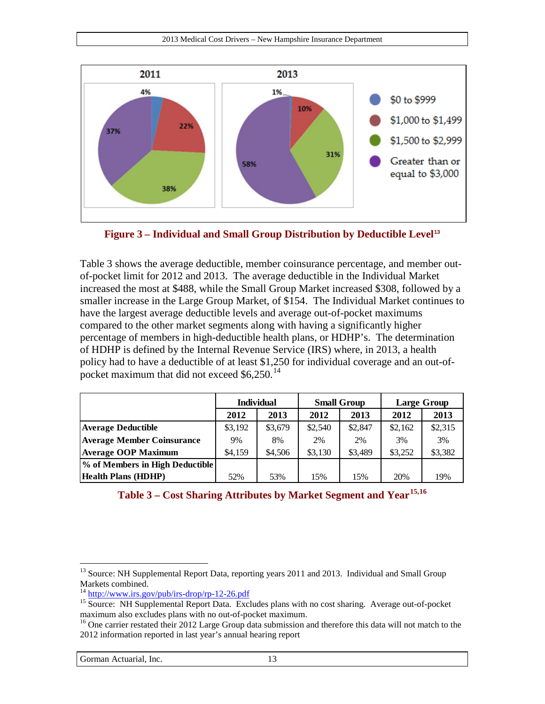

<span id="page-12-0"></span>**Figure 3 – Individual and Small Group Distribution by Deductible Level[13](#page-12-2)**

[Table 3](#page-12-1) shows the average deductible, member coinsurance percentage, and member outof-pocket limit for 2012 and 2013. The average deductible in the Individual Market increased the most at \$488, while the Small Group Market increased \$308, followed by a smaller increase in the Large Group Market, of \$154. The Individual Market continues to have the largest average deductible levels and average out-of-pocket maximums compared to the other market segments along with having a significantly higher percentage of members in high-deductible health plans, or HDHP's. The determination of HDHP is defined by the Internal Revenue Service (IRS) where, in 2013, a health policy had to have a deductible of at least \$1,250 for individual coverage and an out-ofpocket maximum that did not exceed  $$6,250$ .<sup>[14](#page-12-3)</sup>

|                                   | <b>Individual</b><br>2012<br>2013 |         |         | <b>Small Group</b> | <b>Large Group</b> |         |
|-----------------------------------|-----------------------------------|---------|---------|--------------------|--------------------|---------|
|                                   |                                   |         | 2012    | 2013               | 2012               | 2013    |
| <b>Average Deductible</b>         | \$3,192                           | \$3,679 | \$2,540 | \$2,847            | \$2,162            | \$2,315 |
| <b>Average Member Coinsurance</b> | 9%                                | 8%      | 2%      | 2%                 | 3%                 | 3%      |
| <b>Average OOP Maximum</b>        | \$4,159                           | \$4,506 | \$3,130 | \$3,489            | \$3,252            | \$3,382 |
| % of Members in High Deductible   |                                   |         |         |                    |                    |         |
| <b>Health Plans (HDHP)</b>        | 52%                               | 53%     | 15%     | 15%                | 20%                | 19%     |

<span id="page-12-1"></span>

| Table 3 – Cost Sharing Attributes by Market Segment and Year <sup>15,16</sup> |  |  |
|-------------------------------------------------------------------------------|--|--|
|                                                                               |  |  |

<span id="page-12-2"></span><sup>&</sup>lt;sup>13</sup> Source: NH Supplemental Report Data, reporting years 2011 and 2013. Individual and Small Group Markets combined.<br><sup>14</sup> http://www.irs.gov/pub/irs-drop/rp-12-26.pdf

<span id="page-12-4"></span><span id="page-12-3"></span><sup>&</sup>lt;sup>15</sup> Source: NH Supplemental Report Data. Excludes plans with no cost sharing. Average out-of-pocket maximum also excludes plans with no out-of-pocket maximum.

<span id="page-12-5"></span><sup>&</sup>lt;sup>16</sup> One carrier restated their 2012 Large Group data submission and therefore this data will not match to the 2012 information reported in last year's annual hearing report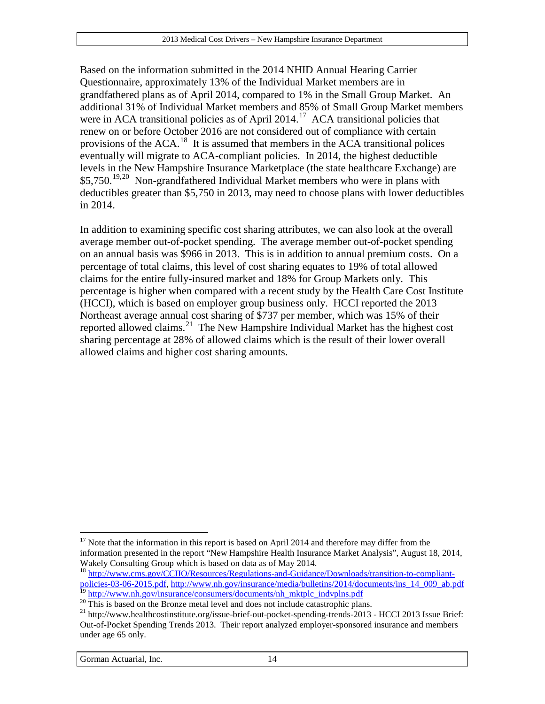Based on the information submitted in the 2014 NHID Annual Hearing Carrier Questionnaire, approximately 13% of the Individual Market members are in grandfathered plans as of April 2014, compared to 1% in the Small Group Market. An additional 31% of Individual Market members and 85% of Small Group Market members were in ACA transitional policies as of April  $2014$ <sup>[17](#page-13-0)</sup> ACA transitional policies that renew on or before October 2016 are not considered out of compliance with certain provisions of the ACA.[18](#page-13-1) It is assumed that members in the ACA transitional polices eventually will migrate to ACA-compliant policies. In 2014, the highest deductible levels in the New Hampshire Insurance Marketplace (the state healthcare Exchange) are  $$5,750<sup>19,20</sup>$  $$5,750<sup>19,20</sup>$  $$5,750<sup>19,20</sup>$  $$5,750<sup>19,20</sup>$  Non-grandfathered Individual Market members who were in plans with deductibles greater than \$5,750 in 2013, may need to choose plans with lower deductibles in 2014.

In addition to examining specific cost sharing attributes, we can also look at the overall average member out-of-pocket spending. The average member out-of-pocket spending on an annual basis was \$966 in 2013. This is in addition to annual premium costs. On a percentage of total claims, this level of cost sharing equates to 19% of total allowed claims for the entire fully-insured market and 18% for Group Markets only. This percentage is higher when compared with a recent study by the Health Care Cost Institute (HCCI), which is based on employer group business only. HCCI reported the 2013 Northeast average annual cost sharing of \$737 per member, which was 15% of their reported allowed claims.[21](#page-13-4) The New Hampshire Individual Market has the highest cost sharing percentage at 28% of allowed claims which is the result of their lower overall allowed claims and higher cost sharing amounts.

<span id="page-13-0"></span><sup>&</sup>lt;sup>17</sup> Note that the information in this report is based on April 2014 and therefore may differ from the information presented in the report "New Hampshire Health Insurance Market Analysis", August 18, 2014, Wakely Consulting Group which is based on data as of May 2014.  $\overline{a}$ 

<span id="page-13-1"></span><sup>&</sup>lt;sup>18</sup> [http://www.cms.gov/CCIIO/Resources/Regulations-and-Guidance/Downloads/transition-to-compliant](http://www.cms.gov/CCIIO/Resources/Regulations-and-Guidance/Downloads/transition-to-compliant-policies-03-06-2015.pdf)[policies-03-06-2015.pdf,](http://www.cms.gov/CCIIO/Resources/Regulations-and-Guidance/Downloads/transition-to-compliant-policies-03-06-2015.pdf) [http://www.nh.gov/insurance/media/bulletins/2014/documents/ins\\_14\\_009\\_ab.pdf](http://www.nh.gov/insurance/media/bulletins/2014/documents/ins_14_009_ab.pdf)<br><sup>19</sup> http://www.nh.gov/insurance/consumers/documents/nh mktplc indvplns.pdf

<span id="page-13-4"></span><span id="page-13-3"></span><span id="page-13-2"></span><sup>&</sup>lt;sup>20</sup>This is based on the Bronze metal level and does not include catastrophic plans.<br><sup>21</sup> http://www.healthcostinstitute.org/issue-brief-out-pocket-spending-trends-2013 - HCCI 2013 Issue Brief: Out-of-Pocket Spending Trends 2013. Their report analyzed employer-sponsored insurance and members under age 65 only.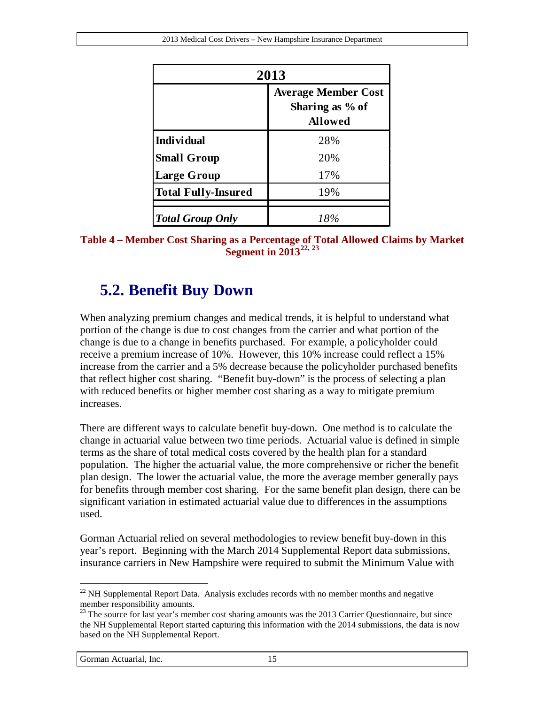| 2013                       |                                                                 |  |  |  |
|----------------------------|-----------------------------------------------------------------|--|--|--|
|                            | <b>Average Member Cost</b><br>Sharing as % of<br><b>Allowed</b> |  |  |  |
| <b>Individual</b>          | 28%                                                             |  |  |  |
| <b>Small Group</b>         | 20%                                                             |  |  |  |
| <b>Large Group</b>         | 17%                                                             |  |  |  |
| <b>Total Fully-Insured</b> | 19%                                                             |  |  |  |
| <b>Total Group Only</b>    | 18%                                                             |  |  |  |

**Table 4 – Member Cost Sharing as a Percentage of Total Allowed Claims by Market Segment in 2013[22,](#page-14-0) [23](#page-14-1)**

#### **5.2. Benefit Buy Down**

When analyzing premium changes and medical trends, it is helpful to understand what portion of the change is due to cost changes from the carrier and what portion of the change is due to a change in benefits purchased. For example, a policyholder could receive a premium increase of 10%. However, this 10% increase could reflect a 15% increase from the carrier and a 5% decrease because the policyholder purchased benefits that reflect higher cost sharing. "Benefit buy-down" is the process of selecting a plan with reduced benefits or higher member cost sharing as a way to mitigate premium increases.

There are different ways to calculate benefit buy-down. One method is to calculate the change in actuarial value between two time periods. Actuarial value is defined in simple terms as the share of total medical costs covered by the health plan for a standard population. The higher the actuarial value, the more comprehensive or richer the benefit plan design. The lower the actuarial value, the more the average member generally pays for benefits through member cost sharing. For the same benefit plan design, there can be significant variation in estimated actuarial value due to differences in the assumptions used.

Gorman Actuarial relied on several methodologies to review benefit buy-down in this year's report. Beginning with the March 2014 Supplemental Report data submissions, insurance carriers in New Hampshire were required to submit the Minimum Value with

<span id="page-14-0"></span> $22$  NH Supplemental Report Data. Analysis excludes records with no member months and negative member responsibility amounts.  $\overline{a}$ 

<span id="page-14-1"></span><sup>&</sup>lt;sup>23</sup> The source for last year's member cost sharing amounts was the 2013 Carrier Questionnaire, but since the NH Supplemental Report started capturing this information with the 2014 submissions, the data is now based on the NH Supplemental Report.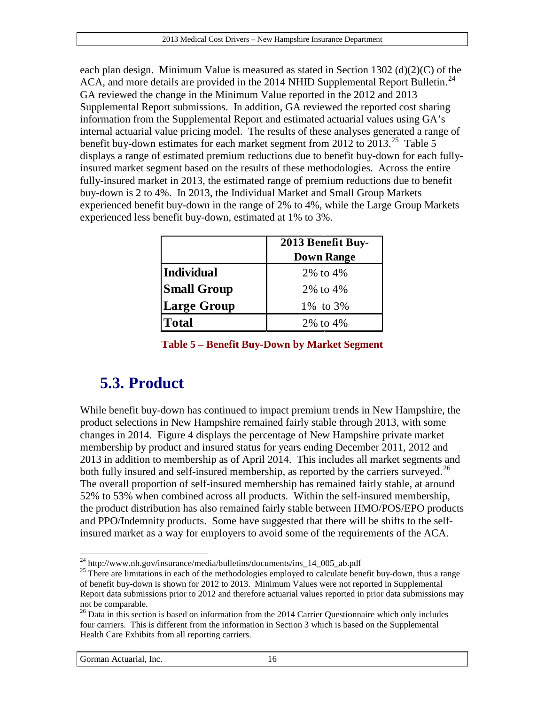each plan design. Minimum Value is measured as stated in Section 1302 (d)(2)(C) of the ACA, and more details are provided in the 2014 NHID Supplemental Report Bulletin.<sup>[24](#page-15-1)</sup> GA reviewed the change in the Minimum Value reported in the 2012 and 2013 Supplemental Report submissions. In addition, GA reviewed the reported cost sharing information from the Supplemental Report and estimated actuarial values using GA's internal actuarial value pricing model. The results of these analyses generated a range of benefit buy-down estimates for each market segment from 2012 to 2013.<sup>[25](#page-15-2)</sup> [Table 5](#page-15-0) displays a range of estimated premium reductions due to benefit buy-down for each fullyinsured market segment based on the results of these methodologies. Across the entire fully-insured market in 2013, the estimated range of premium reductions due to benefit buy-down is 2 to 4%. In 2013, the Individual Market and Small Group Markets experienced benefit buy-down in the range of 2% to 4%, while the Large Group Markets experienced less benefit buy-down, estimated at 1% to 3%.

|                    | 2013 Benefit Buy- |
|--------------------|-------------------|
|                    | <b>Down Range</b> |
| <b>Individual</b>  | 2% to 4%          |
| <b>Small Group</b> | 2% to 4%          |
| Large Group        | 1\% to 3\%        |
| <b>Total</b>       | 2\% to 4\%        |

|  | Table 5 – Benefit Buy-Down by Market Segment |  |  |  |  |
|--|----------------------------------------------|--|--|--|--|
|  |                                              |  |  |  |  |

#### <span id="page-15-0"></span>**5.3. Product**

While benefit buy-down has continued to impact premium trends in New Hampshire, the product selections in New Hampshire remained fairly stable through 2013, with some changes in 2014. [Figure 4](#page-16-0) displays the percentage of New Hampshire private market membership by product and insured status for years ending December 2011, 2012 and 2013 in addition to membership as of April 2014. This includes all market segments and both fully insured and self-insured membership, as reported by the carriers surveyed.<sup>[26](#page-15-3)</sup> The overall proportion of self-insured membership has remained fairly stable, at around 52% to 53% when combined across all products. Within the self-insured membership, the product distribution has also remained fairly stable between HMO/POS/EPO products and PPO/Indemnity products. Some have suggested that there will be shifts to the selfinsured market as a way for employers to avoid some of the requirements of the ACA.

<span id="page-15-1"></span> $^{24}$  http://www.nh.gov/insurance/media/bulletins/documents/ins\_14\_005\_ab.pdf

<span id="page-15-2"></span><sup>&</sup>lt;sup>25</sup> There are limitations in each of the methodologies employed to calculate benefit buy-down, thus a range of benefit buy-down is shown for 2012 to 2013. Minimum Values were not reported in Supplemental Report data submissions prior to 2012 and therefore actuarial values reported in prior data submissions may not be comparable.

<span id="page-15-3"></span><sup>&</sup>lt;sup>26</sup> Data in this section is based on information from the 2014 Carrier Questionnaire which only includes four carriers. This is different from the information in Section [3](#page-8-3) which is based on the Supplemental Health Care Exhibits from all reporting carriers.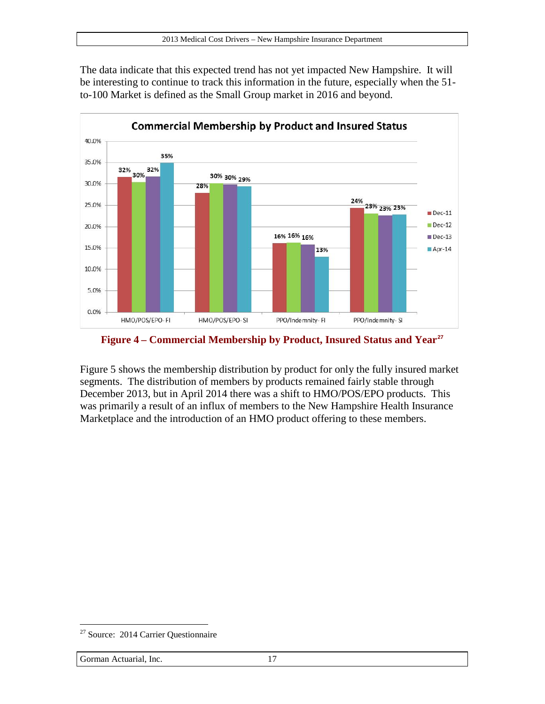The data indicate that this expected trend has not yet impacted New Hampshire. It will be interesting to continue to track this information in the future, especially when the 51 to-100 Market is defined as the Small Group market in 2016 and beyond.



<span id="page-16-0"></span>**Figure 4 – Commercial Membership by Product, Insured Status and Year[27](#page-16-1)**

[Figure 5](#page-17-0) shows the membership distribution by product for only the fully insured market segments. The distribution of members by products remained fairly stable through December 2013, but in April 2014 there was a shift to HMO/POS/EPO products. This was primarily a result of an influx of members to the New Hampshire Health Insurance Marketplace and the introduction of an HMO product offering to these members.

<span id="page-16-1"></span><sup>&</sup>lt;sup>27</sup> Source: 2014 Carrier Questionnaire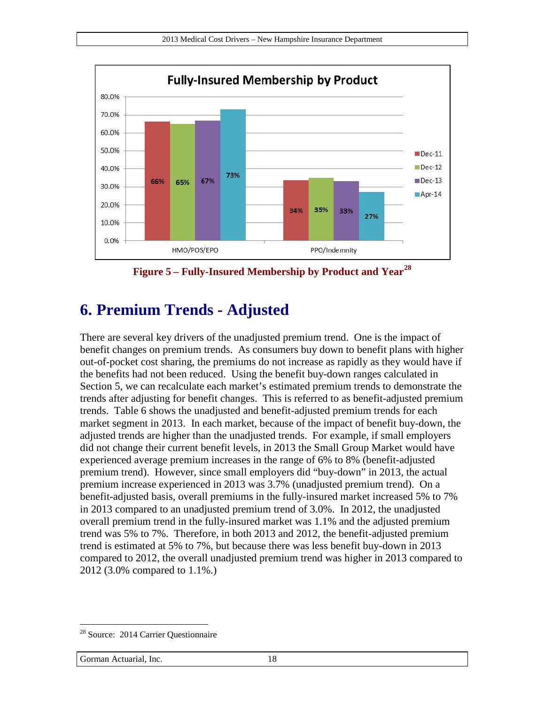

**Figure 5 – Fully-Insured Membership by Product and Year[28](#page-17-1)**

### <span id="page-17-0"></span>**6. Premium Trends - Adjusted**

There are several key drivers of the unadjusted premium trend. One is the impact of benefit changes on premium trends. As consumers buy down to benefit plans with higher out-of-pocket cost sharing, the premiums do not increase as rapidly as they would have if the benefits had not been reduced. Using the benefit buy-down ranges calculated in Section [5,](#page-11-4) we can recalculate each market's estimated premium trends to demonstrate the trends after adjusting for benefit changes. This is referred to as benefit-adjusted premium trends. [Table 6](#page-18-0) shows the unadjusted and benefit-adjusted premium trends for each market segment in 2013. In each market, because of the impact of benefit buy-down, the adjusted trends are higher than the unadjusted trends. For example, if small employers did not change their current benefit levels, in 2013 the Small Group Market would have experienced average premium increases in the range of 6% to 8% (benefit-adjusted premium trend). However, since small employers did "buy-down" in 2013, the actual premium increase experienced in 2013 was 3.7% (unadjusted premium trend). On a benefit-adjusted basis, overall premiums in the fully-insured market increased 5% to 7% in 2013 compared to an unadjusted premium trend of 3.0%. In 2012, the unadjusted overall premium trend in the fully-insured market was 1.1% and the adjusted premium trend was 5% to 7%. Therefore, in both 2013 and 2012, the benefit-adjusted premium trend is estimated at 5% to 7%, but because there was less benefit buy-down in 2013 compared to 2012, the overall unadjusted premium trend was higher in 2013 compared to 2012 (3.0% compared to 1.1%.)

<span id="page-17-1"></span><sup>28</sup> Source: 2014 Carrier Questionnaire  $\overline{a}$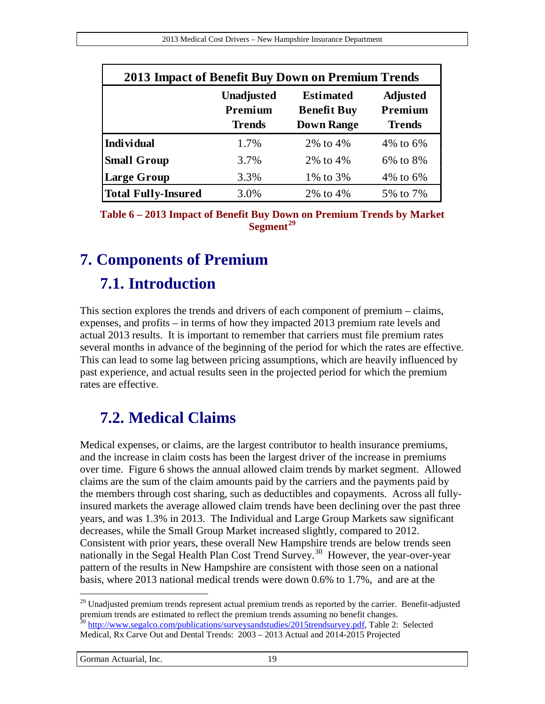| 2013 Impact of Benefit Buy Down on Premium Trends |                                                                                                                                                             |            |             |  |  |  |
|---------------------------------------------------|-------------------------------------------------------------------------------------------------------------------------------------------------------------|------------|-------------|--|--|--|
|                                                   | <b>Estimated</b><br><b>Adjusted</b><br><b>Unadjusted</b><br>Premium<br>Premium<br><b>Benefit Buy</b><br><b>Down Range</b><br><b>Trends</b><br><b>Trends</b> |            |             |  |  |  |
| <b>Individual</b>                                 | 1.7%                                                                                                                                                        | 2% to 4%   | $4\%$ to 6% |  |  |  |
| <b>Small Group</b>                                | 3.7%                                                                                                                                                        | 2\% to 4\% | 6% to 8%    |  |  |  |
| <b>Large Group</b>                                | 3.3%                                                                                                                                                        | 1\% to 3\% | 4\% to 6\%  |  |  |  |
| <b>Total Fully-Insured</b>                        | 3.0%                                                                                                                                                        | 2\% to 4\% | 5% to 7%    |  |  |  |

<span id="page-18-0"></span>**Table 6 – 2013 Impact of Benefit Buy Down on Premium Trends by Market Segment[29](#page-18-1)**

# <span id="page-18-3"></span>**7. Components of Premium**

#### **7.1. Introduction**

This section explores the trends and drivers of each component of premium – claims, expenses, and profits – in terms of how they impacted 2013 premium rate levels and actual 2013 results. It is important to remember that carriers must file premium rates several months in advance of the beginning of the period for which the rates are effective. This can lead to some lag between pricing assumptions, which are heavily influenced by past experience, and actual results seen in the projected period for which the premium rates are effective.

# **7.2. Medical Claims**

Medical expenses, or claims, are the largest contributor to health insurance premiums, and the increase in claim costs has been the largest driver of the increase in premiums over time. [Figure 6](#page-19-0) shows the annual allowed claim trends by market segment. Allowed claims are the sum of the claim amounts paid by the carriers and the payments paid by the members through cost sharing, such as deductibles and copayments. Across all fullyinsured markets the average allowed claim trends have been declining over the past three years, and was 1.3% in 2013. The Individual and Large Group Markets saw significant decreases, while the Small Group Market increased slightly, compared to 2012. Consistent with prior years, these overall New Hampshire trends are below trends seen nationally in the Segal Health Plan Cost Trend Survey.<sup>[30](#page-18-2)</sup> However, the year-over-year pattern of the results in New Hampshire are consistent with those seen on a national basis, where 2013 national medical trends were down 0.6% to 1.7%, and are at the

<span id="page-18-2"></span><span id="page-18-1"></span> $^{29}$  Unadjusted premium trends represent actual premium trends as reported by the carrier. Benefit-adjusted premium trends are estimated to reflect the premium trends assuming no benefit changes. <sup>30</sup> [http://www.segalco.com/publications/surveysandstudies/2015trendsurvey.pdf,](http://www.segalco.com/publications/surveysandstudies/2015trendsurvey.pdf) Table 2: Selected Medical, Rx Carve Out and Dental Trends: 2003 – 2013 Actual and 2014-2015 Projected  $\overline{a}$ 

Gorman Actuarial, Inc. 19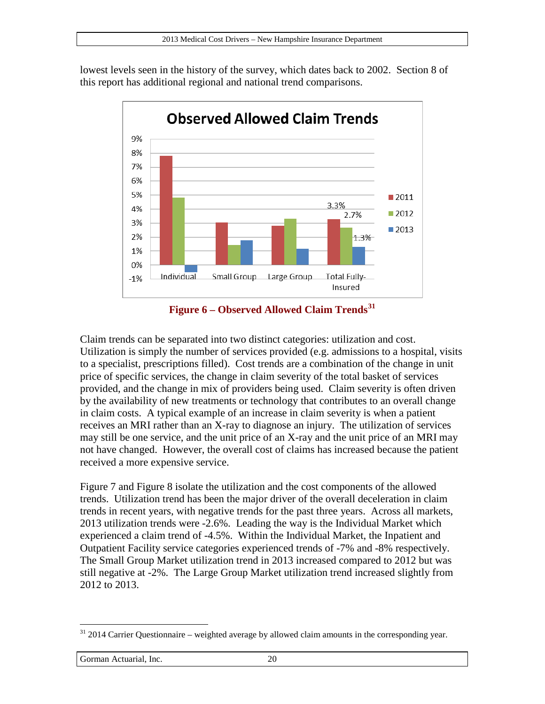lowest levels seen in the history of the survey, which dates back to 2002. Section [8](#page-39-0) of this report has additional regional and national trend comparisons.



**Figure 6 – Observed Allowed Claim Trends[31](#page-19-1)**

<span id="page-19-0"></span>Claim trends can be separated into two distinct categories: utilization and cost. Utilization is simply the number of services provided (e.g. admissions to a hospital, visits to a specialist, prescriptions filled). Cost trends are a combination of the change in unit price of specific services, the change in claim severity of the total basket of services provided, and the change in mix of providers being used. Claim severity is often driven by the availability of new treatments or technology that contributes to an overall change in claim costs. A typical example of an increase in claim severity is when a patient receives an MRI rather than an X-ray to diagnose an injury. The utilization of services may still be one service, and the unit price of an X-ray and the unit price of an MRI may not have changed. However, the overall cost of claims has increased because the patient received a more expensive service.

[Figure 7](#page-20-0) and [Figure 8](#page-21-0) isolate the utilization and the cost components of the allowed trends. Utilization trend has been the major driver of the overall deceleration in claim trends in recent years, with negative trends for the past three years. Across all markets, 2013 utilization trends were -2.6%. Leading the way is the Individual Market which experienced a claim trend of -4.5%. Within the Individual Market, the Inpatient and Outpatient Facility service categories experienced trends of -7% and -8% respectively. The Small Group Market utilization trend in 2013 increased compared to 2012 but was still negative at -2%. The Large Group Market utilization trend increased slightly from 2012 to 2013.

<span id="page-19-1"></span><sup>&</sup>lt;sup>31</sup> 2014 Carrier Questionnaire – weighted average by allowed claim amounts in the corresponding year.  $\overline{a}$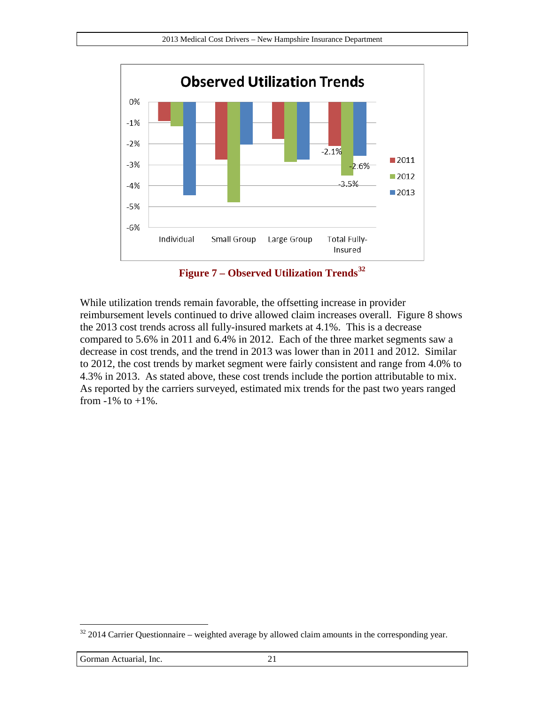

**Figure 7 – Observed Utilization Trends[32](#page-20-1)**

<span id="page-20-0"></span>While utilization trends remain favorable, the offsetting increase in provider reimbursement levels continued to drive allowed claim increases overall. [Figure 8](#page-21-0) shows the 2013 cost trends across all fully-insured markets at 4.1%. This is a decrease compared to 5.6% in 2011 and 6.4% in 2012. Each of the three market segments saw a decrease in cost trends, and the trend in 2013 was lower than in 2011 and 2012. Similar to 2012, the cost trends by market segment were fairly consistent and range from 4.0% to 4.3% in 2013. As stated above, these cost trends include the portion attributable to mix. As reported by the carriers surveyed, estimated mix trends for the past two years ranged from  $-1\%$  to  $+1\%$ .

<span id="page-20-1"></span> $32$  2014 Carrier Questionnaire – weighted average by allowed claim amounts in the corresponding year.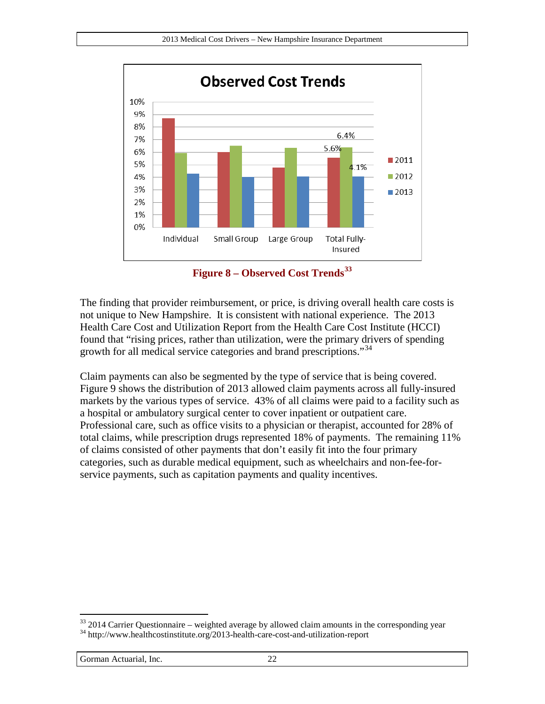

**Figure 8 – Observed Cost Trends[33](#page-21-1)**

<span id="page-21-0"></span>The finding that provider reimbursement, or price, is driving overall health care costs is not unique to New Hampshire. It is consistent with national experience. The 2013 Health Care Cost and Utilization Report from the Health Care Cost Institute (HCCI) found that "rising prices, rather than utilization, were the primary drivers of spending growth for all medical service categories and brand prescriptions."<sup>[34](#page-21-2)</sup>

Claim payments can also be segmented by the type of service that is being covered. [Figure 9](#page-22-0) shows the distribution of 2013 allowed claim payments across all fully-insured markets by the various types of service. 43% of all claims were paid to a facility such as a hospital or ambulatory surgical center to cover inpatient or outpatient care. Professional care, such as office visits to a physician or therapist, accounted for 28% of total claims, while prescription drugs represented 18% of payments. The remaining 11% of claims consisted of other payments that don't easily fit into the four primary categories, such as durable medical equipment, such as wheelchairs and non-fee-forservice payments, such as capitation payments and quality incentives.

<span id="page-21-2"></span><span id="page-21-1"></span> $33$  2014 Carrier Questionnaire – weighted average by allowed claim amounts in the corresponding year  $34$  http://www.healthcostinstitute.org/2013-health-care-cost-and-utilization-report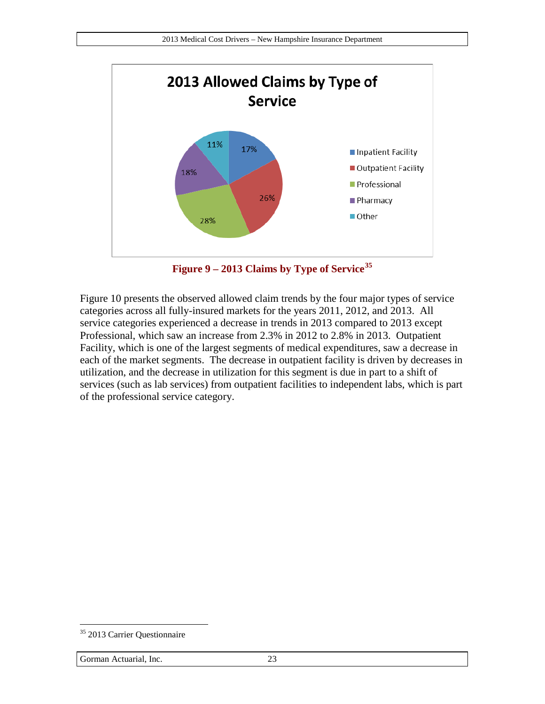

**Figure 9 – 2013 Claims by Type of Service[35](#page-22-1)**

<span id="page-22-0"></span>[Figure 10](#page-23-0) presents the observed allowed claim trends by the four major types of service categories across all fully-insured markets for the years 2011, 2012, and 2013. All service categories experienced a decrease in trends in 2013 compared to 2013 except Professional, which saw an increase from 2.3% in 2012 to 2.8% in 2013. Outpatient Facility, which is one of the largest segments of medical expenditures, saw a decrease in each of the market segments. The decrease in outpatient facility is driven by decreases in utilization, and the decrease in utilization for this segment is due in part to a shift of services (such as lab services) from outpatient facilities to independent labs, which is part of the professional service category.

<span id="page-22-1"></span><sup>&</sup>lt;sup>35</sup> 2013 Carrier Questionnaire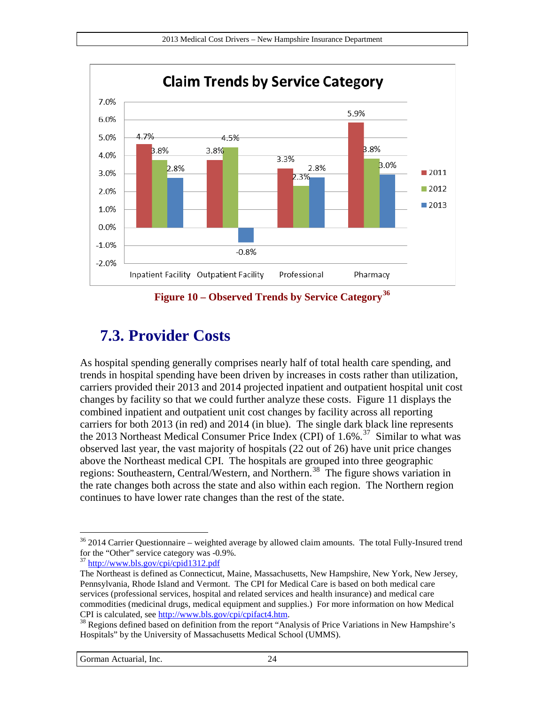

**Figure 10 – Observed Trends by Service Category[36](#page-23-1)**

### <span id="page-23-0"></span>**7.3. Provider Costs**

As hospital spending generally comprises nearly half of total health care spending, and trends in hospital spending have been driven by increases in costs rather than utilization, carriers provided their 2013 and 2014 projected inpatient and outpatient hospital unit cost changes by facility so that we could further analyze these costs. [Figure 11](#page-24-0) displays the combined inpatient and outpatient unit cost changes by facility across all reporting carriers for both 2013 (in red) and 2014 (in blue). The single dark black line represents the 2013 Northeast Medical Consumer Price Index (CPI) of 1.6%. [37](#page-23-2) Similar to what was observed last year, the vast majority of hospitals (22 out of 26) have unit price changes above the Northeast medical CPI. The hospitals are grouped into three geographic regions: Southeastern, Central/Western, and Northern.<sup>38</sup> The figure shows variation in the rate changes both across the state and also within each region. The Northern region continues to have lower rate changes than the rest of the state.

<span id="page-23-1"></span> $36$  2014 Carrier Questionnaire – weighted average by allowed claim amounts. The total Fully-Insured trend for the "Other" service category was -0.9%.  $f<sup>37</sup>$  http://www.bls.gov/cpi/cpid1312.pdf

<span id="page-23-2"></span>The Northeast is defined as Connecticut, Maine, Massachusetts, New Hampshire, New York, New Jersey, Pennsylvania, Rhode Island and Vermont. The CPI for Medical Care is based on both medical care services (professional services, hospital and related services and health insurance) and medical care commodities (medicinal drugs, medical equipment and supplies.) For more information on how Medical

<span id="page-23-3"></span>CPI is calculated, see [http://www.bls.gov/cpi/cpifact4.htm.](http://www.bls.gov/cpi/cpifact4.htm)<br><sup>38</sup> Regions defined based on definition from the report "Analysis of Price Variations in New Hampshire's Hospitals" by the University of Massachusetts Medical School (UMMS).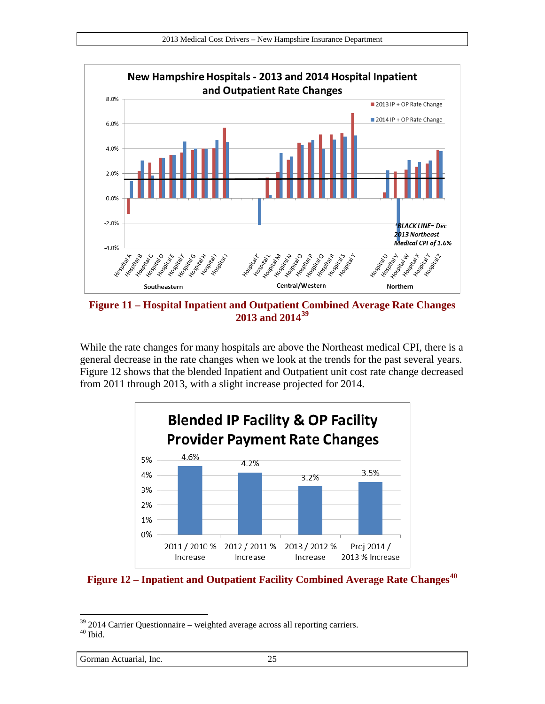

<span id="page-24-0"></span>**Figure 11 – Hospital Inpatient and Outpatient Combined Average Rate Changes 2013 and 2014[39](#page-24-2)**

While the rate changes for many hospitals are above the Northeast medical CPI, there is a general decrease in the rate changes when we look at the trends for the past several years. [Figure 12](#page-24-1) shows that the blended Inpatient and Outpatient unit cost rate change decreased from 2011 through 2013, with a slight increase projected for 2014.



<span id="page-24-1"></span>**Figure 12 – Inpatient and Outpatient Facility Combined Average Rate Changes[40](#page-24-3)**

Gorman Actuarial, Inc. 25

<span id="page-24-3"></span><span id="page-24-2"></span> $39$  2014 Carrier Questionnaire – weighted average across all reporting carriers.<br> $40$  Ibid.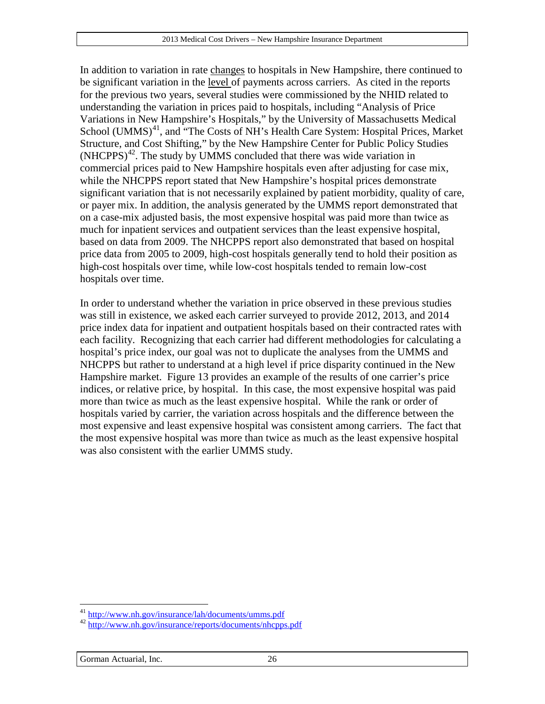In addition to variation in rate changes to hospitals in New Hampshire, there continued to be significant variation in the level of payments across carriers. As cited in the reports for the previous two years, several studies were commissioned by the NHID related to understanding the variation in prices paid to hospitals, including "Analysis of Price Variations in New Hampshire's Hospitals," by the University of Massachusetts Medical School (UMMS)<sup>41</sup>, and "The Costs of NH's Health Care System: Hospital Prices, Market Structure, and Cost Shifting," by the New Hampshire Center for Public Policy Studies  $(NHCPPS)^{42}$  $(NHCPPS)^{42}$  $(NHCPPS)^{42}$ . The study by UMMS concluded that there was wide variation in commercial prices paid to New Hampshire hospitals even after adjusting for case mix, while the NHCPPS report stated that New Hampshire's hospital prices demonstrate significant variation that is not necessarily explained by patient morbidity, quality of care, or payer mix. In addition, the analysis generated by the UMMS report demonstrated that on a case-mix adjusted basis, the most expensive hospital was paid more than twice as much for inpatient services and outpatient services than the least expensive hospital, based on data from 2009. The NHCPPS report also demonstrated that based on hospital price data from 2005 to 2009, high-cost hospitals generally tend to hold their position as high-cost hospitals over time, while low-cost hospitals tended to remain low-cost hospitals over time.

In order to understand whether the variation in price observed in these previous studies was still in existence, we asked each carrier surveyed to provide 2012, 2013, and 2014 price index data for inpatient and outpatient hospitals based on their contracted rates with each facility. Recognizing that each carrier had different methodologies for calculating a hospital's price index, our goal was not to duplicate the analyses from the UMMS and NHCPPS but rather to understand at a high level if price disparity continued in the New Hampshire market. [Figure 13](#page-26-0) provides an example of the results of one carrier's price indices, or relative price, by hospital. In this case, the most expensive hospital was paid more than twice as much as the least expensive hospital. While the rank or order of hospitals varied by carrier, the variation across hospitals and the difference between the most expensive and least expensive hospital was consistent among carriers. The fact that the most expensive hospital was more than twice as much as the least expensive hospital was also consistent with the earlier UMMS study.

<span id="page-25-0"></span><sup>&</sup>lt;sup>41</sup> http://www.nh.gov/insurance/lah/documents/umms.pdf

<span id="page-25-1"></span><sup>&</sup>lt;sup>42</sup> <http://www.nh.gov/insurance/reports/documents/nhcpps.pdf>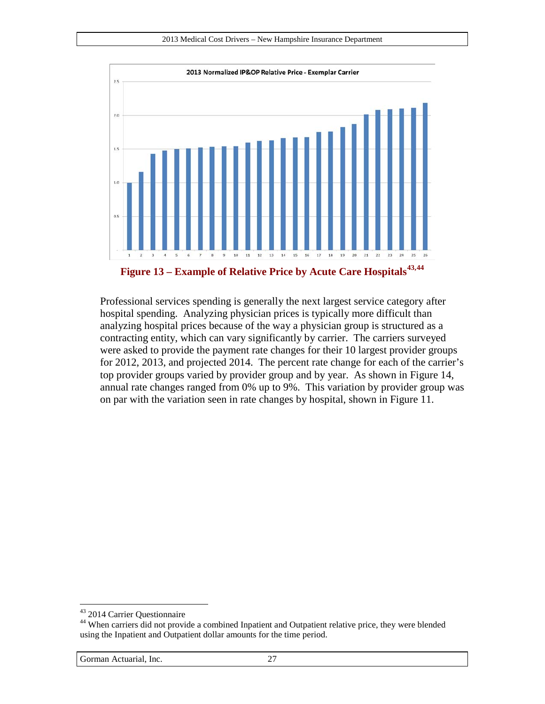

<span id="page-26-0"></span>**Figure 13 – Example of Relative Price by Acute Care Hospitals[43,](#page-26-1)[44](#page-26-2)**

Professional services spending is generally the next largest service category after hospital spending. Analyzing physician prices is typically more difficult than analyzing hospital prices because of the way a physician group is structured as a contracting entity, which can vary significantly by carrier. The carriers surveyed were asked to provide the payment rate changes for their 10 largest provider groups for 2012, 2013, and projected 2014. The percent rate change for each of the carrier's top provider groups varied by provider group and by year. As shown in [Figure 14,](#page-27-0) annual rate changes ranged from 0% up to 9%. This variation by provider group was on par with the variation seen in rate changes by hospital, shown in [Figure 11.](#page-24-0)

<span id="page-26-1"></span><sup>&</sup>lt;sup>43</sup> 2014 Carrier Questionnaire

<span id="page-26-2"></span><sup>&</sup>lt;sup>44</sup> When carriers did not provide a combined Inpatient and Outpatient relative price, they were blended using the Inpatient and Outpatient dollar amounts for the time period.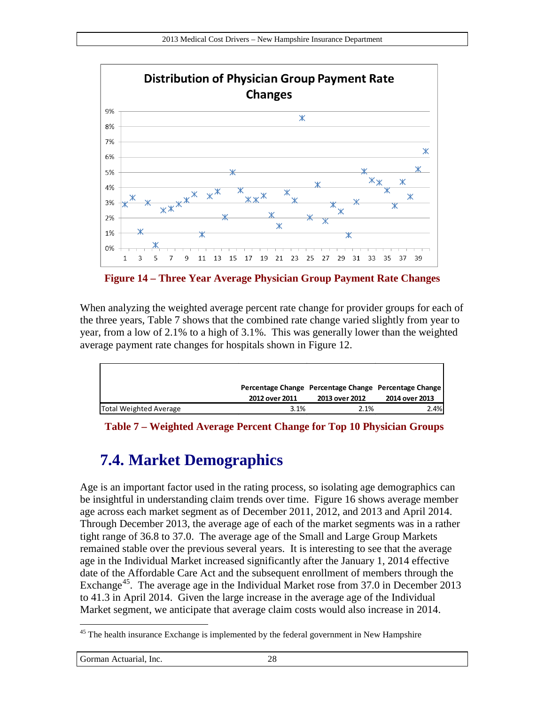

<span id="page-27-0"></span>**Figure 14 – Three Year Average Physician Group Payment Rate Changes**

When analyzing the weighted average percent rate change for provider groups for each of the three years, [Table 7](#page-27-1) shows that the combined rate change varied slightly from year to year, from a low of 2.1% to a high of 3.1%. This was generally lower than the weighted average payment rate changes for hospitals shown in [Figure 12.](#page-24-1)

|                        |                |                | Percentage Change Percentage Change Percentage Change |
|------------------------|----------------|----------------|-------------------------------------------------------|
|                        | 2012 over 2011 | 2013 over 2012 | 2014 over 2013                                        |
| Total Weighted Average | 3.1%           | 2.1%           | 2.4%                                                  |

<span id="page-27-1"></span>**Table 7 – Weighted Average Percent Change for Top 10 Physician Groups**

# **7.4. Market Demographics**

Age is an important factor used in the rating process, so isolating age demographics can be insightful in understanding claim trends over time. [Figure 16](#page-29-0) shows average member age across each market segment as of December 2011, 2012, and 2013 and April 2014. Through December 2013, the average age of each of the market segments was in a rather tight range of 36.8 to 37.0. The average age of the Small and Large Group Markets remained stable over the previous several years. It is interesting to see that the average age in the Individual Market increased significantly after the January 1, 2014 effective date of the Affordable Care Act and the subsequent enrollment of members through the Exchange<sup>[45](#page-27-2)</sup>. The average age in the Individual Market rose from 37.0 in December 2013 to 41.3 in April 2014. Given the large increase in the average age of the Individual Market segment, we anticipate that average claim costs would also increase in 2014.

<span id="page-27-2"></span><sup>&</sup>lt;sup>45</sup> The health insurance Exchange is implemented by the federal government in New Hampshire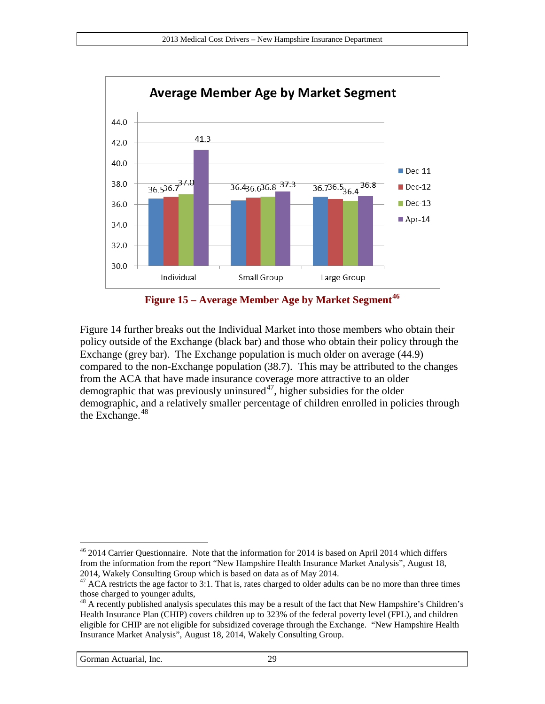



<span id="page-28-0"></span>Figure 14 further breaks out the Individual Market into those members who obtain their policy outside of the Exchange (black bar) and those who obtain their policy through the Exchange (grey bar). The Exchange population is much older on average (44.9) compared to the non-Exchange population (38.7). This may be attributed to the changes from the ACA that have made insurance coverage more attractive to an older demographic that was previously uninsured<sup>[47](#page-28-2)</sup>, higher subsidies for the older demographic, and a relatively smaller percentage of children enrolled in policies through the Exchange. [48](#page-28-3)

<span id="page-28-1"></span><sup>&</sup>lt;sup>46</sup> 2014 Carrier Questionnaire. Note that the information for 2014 is based on April 2014 which differs from the information from the report "New Hampshire Health Insurance Market Analysis", August 18, 2014, Wakely Consulting Group which is based on data as of May 2014.

<span id="page-28-2"></span><sup>&</sup>lt;sup>47</sup> ACA restricts the age factor to 3:1. That is, rates charged to older adults can be no more than three times those charged to younger adults,

<span id="page-28-3"></span> $48$  A recently published analysis speculates this may be a result of the fact that New Hampshire's Children's Health Insurance Plan (CHIP) covers children up to 323% of the federal poverty level (FPL), and children eligible for CHIP are not eligible for subsidized coverage through the Exchange. "New Hampshire Health Insurance Market Analysis", August 18, 2014, Wakely Consulting Group.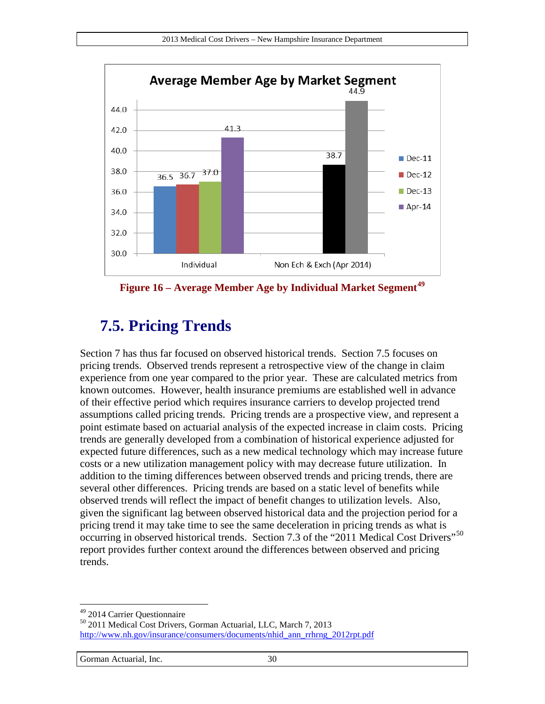

<span id="page-29-0"></span>**Figure 16 – Average Member Age by Individual Market Segment[49](#page-29-2)**

# <span id="page-29-1"></span>**7.5. Pricing Trends**

Section [7](#page-18-3) has thus far focused on observed historical trends. Section [7.5](#page-29-1) focuses on pricing trends. Observed trends represent a retrospective view of the change in claim experience from one year compared to the prior year. These are calculated metrics from known outcomes. However, health insurance premiums are established well in advance of their effective period which requires insurance carriers to develop projected trend assumptions called pricing trends. Pricing trends are a prospective view, and represent a point estimate based on actuarial analysis of the expected increase in claim costs. Pricing trends are generally developed from a combination of historical experience adjusted for expected future differences, such as a new medical technology which may increase future costs or a new utilization management policy with may decrease future utilization. In addition to the timing differences between observed trends and pricing trends, there are several other differences. Pricing trends are based on a static level of benefits while observed trends will reflect the impact of benefit changes to utilization levels. Also, given the significant lag between observed historical data and the projection period for a pricing trend it may take time to see the same deceleration in pricing trends as what is occurring in observed historical trends. Section 7.3 of the "2011 Medical Cost Drivers"<sup>[50](#page-29-3)</sup> report provides further context around the differences between observed and pricing trends.

<span id="page-29-2"></span><sup>&</sup>lt;sup>49</sup> 2014 Carrier Questionnaire

<span id="page-29-3"></span><sup>&</sup>lt;sup>50</sup> 2011 Medical Cost Drivers, Gorman Actuarial, LLC, March 7, 2013 [http://www.nh.gov/insurance/consumers/documents/nhid\\_ann\\_rrhrng\\_2012rpt.pdf](http://www.nh.gov/insurance/consumers/documents/nhid_ann_rrhrng_2012rpt.pdf)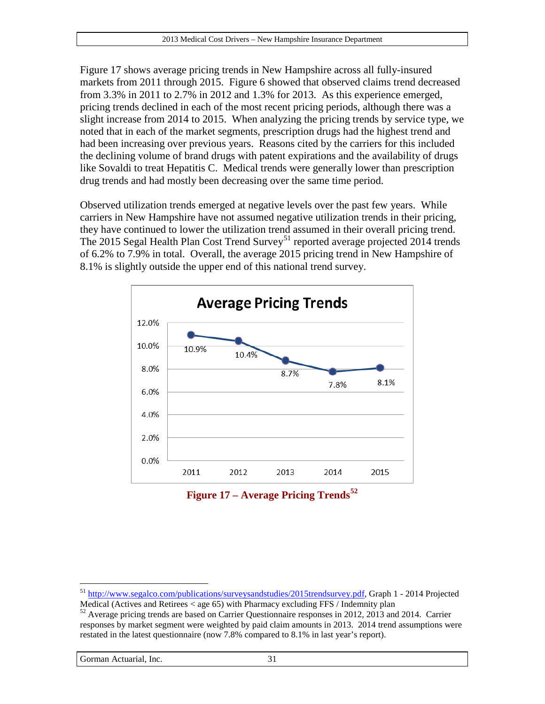[Figure 17](#page-30-0) shows average pricing trends in New Hampshire across all fully-insured markets from 2011 through 2015. [Figure 6](#page-19-0) showed that observed claims trend decreased from 3.3% in 2011 to 2.7% in 2012 and 1.3% for 2013. As this experience emerged, pricing trends declined in each of the most recent pricing periods, although there was a slight increase from 2014 to 2015. When analyzing the pricing trends by service type, we noted that in each of the market segments, prescription drugs had the highest trend and had been increasing over previous years. Reasons cited by the carriers for this included the declining volume of brand drugs with patent expirations and the availability of drugs like Sovaldi to treat Hepatitis C. Medical trends were generally lower than prescription drug trends and had mostly been decreasing over the same time period.

Observed utilization trends emerged at negative levels over the past few years. While carriers in New Hampshire have not assumed negative utilization trends in their pricing, they have continued to lower the utilization trend assumed in their overall pricing trend. The 2015 Segal Health Plan Cost Trend Survey<sup>[51](#page-30-1)</sup> reported average projected 2014 trends of 6.2% to 7.9% in total. Overall, the average 2015 pricing trend in New Hampshire of 8.1% is slightly outside the upper end of this national trend survey.



**Figure 17 – Average Pricing Trends[52](#page-30-2)**

<span id="page-30-0"></span><sup>&</sup>lt;sup>51</sup> [http://www.segalco.com/publications/surveysandstudies/2015trendsurvey.pdf,](http://www.segalco.com/publications/surveysandstudies/2015trendsurvey.pdf) Graph 1 - 2014 Projected  $\overline{a}$ 

<span id="page-30-2"></span><span id="page-30-1"></span>Medical (Actives and Retirees < age 65) with Pharmacy excluding FFS / Indemnity plan 52 Average pricing trends are based on Carrier Questionnaire responses in 2012, 2013 and 2014. Carrier responses by market segment were weighted by paid claim amounts in 2013. 2014 trend assumptions were restated in the latest questionnaire (now 7.8% compared to 8.1% in last year's report).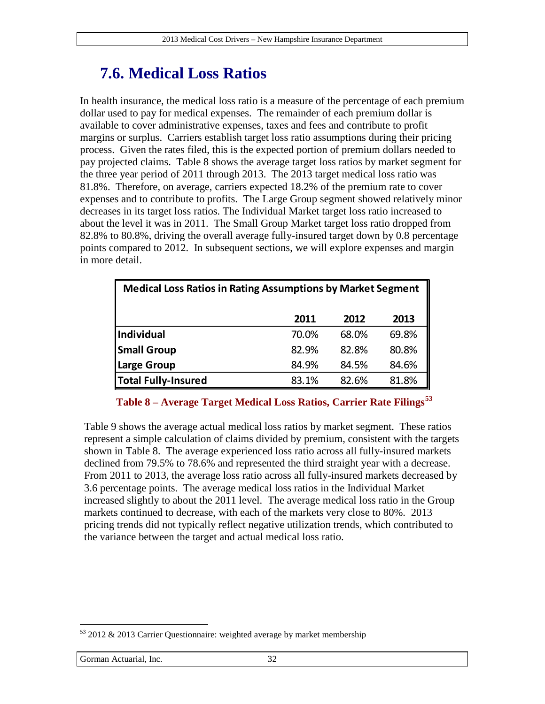# <span id="page-31-2"></span>**7.6. Medical Loss Ratios**

In health insurance, the medical loss ratio is a measure of the percentage of each premium dollar used to pay for medical expenses. The remainder of each premium dollar is available to cover administrative expenses, taxes and fees and contribute to profit margins or surplus. Carriers establish target loss ratio assumptions during their pricing process. Given the rates filed, this is the expected portion of premium dollars needed to pay projected claims. [Table 8](#page-31-0) shows the average target loss ratios by market segment for the three year period of 2011 through 2013. The 2013 target medical loss ratio was 81.8%. Therefore, on average, carriers expected 18.2% of the premium rate to cover expenses and to contribute to profits. The Large Group segment showed relatively minor decreases in its target loss ratios. The Individual Market target loss ratio increased to about the level it was in 2011. The Small Group Market target loss ratio dropped from 82.8% to 80.8%, driving the overall average fully-insured target down by 0.8 percentage points compared to 2012. In subsequent sections, we will explore expenses and margin in more detail.

| <b>Medical Loss Ratios in Rating Assumptions by Market Segment</b> |       |       |       |
|--------------------------------------------------------------------|-------|-------|-------|
|                                                                    | 2011  | 2012  | 2013  |
| <b>Individual</b>                                                  | 70.0% | 68.0% | 69.8% |
| <b>Small Group</b>                                                 | 82.9% | 82.8% | 80.8% |
| <b>Large Group</b>                                                 | 84.9% | 84.5% | 84.6% |
| <b>Total Fully-Insured</b>                                         | 83.1% | 82.6% | 81.8% |

**Table 8 – Average Target Medical Loss Ratios, Carrier Rate Filings[53](#page-31-1)**

<span id="page-31-0"></span>[Table 9](#page-32-0) shows the average actual medical loss ratios by market segment. These ratios represent a simple calculation of claims divided by premium, consistent with the targets shown in [Table 8.](#page-31-0) The average experienced loss ratio across all fully-insured markets declined from 79.5% to 78.6% and represented the third straight year with a decrease. From 2011 to 2013, the average loss ratio across all fully-insured markets decreased by 3.6 percentage points. The average medical loss ratios in the Individual Market increased slightly to about the 2011 level. The average medical loss ratio in the Group markets continued to decrease, with each of the markets very close to 80%. 2013 pricing trends did not typically reflect negative utilization trends, which contributed to the variance between the target and actual medical loss ratio.

<span id="page-31-1"></span><sup>&</sup>lt;sup>53</sup> 2012 & 2013 Carrier Questionnaire: weighted average by market membership  $\overline{a}$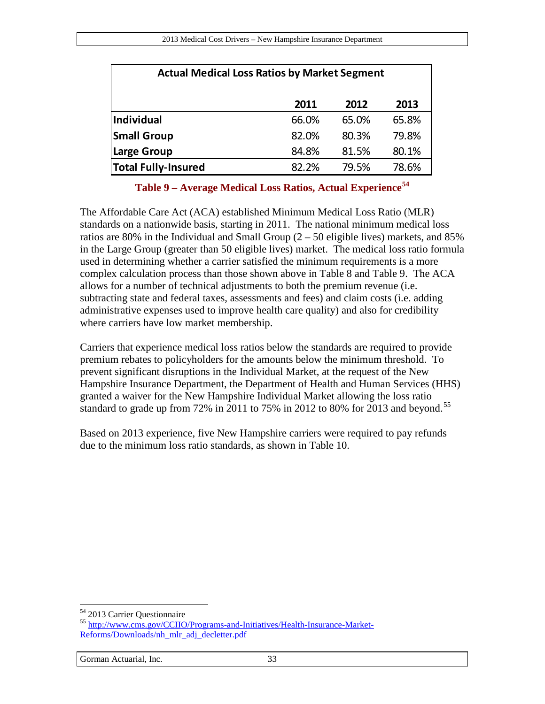| <b>Actual Medical Loss Ratios by Market Segment</b> |       |       |       |
|-----------------------------------------------------|-------|-------|-------|
|                                                     | 2011  | 2012  | 2013  |
| Individual                                          | 66.0% | 65.0% | 65.8% |
| <b>Small Group</b>                                  | 82.0% | 80.3% | 79.8% |
| <b>Large Group</b>                                  | 84.8% | 81.5% | 80.1% |
| <b>Total Fully-Insured</b>                          | 82.2% | 79.5% | 78.6% |

**Table 9 – Average Medical Loss Ratios, Actual Experience[54](#page-32-1)**

<span id="page-32-0"></span>The Affordable Care Act (ACA) established Minimum Medical Loss Ratio (MLR) standards on a nationwide basis, starting in 2011. The national minimum medical loss ratios are 80% in the Individual and Small Group  $(2 - 50)$  eligible lives) markets, and 85% in the Large Group (greater than 50 eligible lives) market. The medical loss ratio formula used in determining whether a carrier satisfied the minimum requirements is a more complex calculation process than those shown above in [Table 8](#page-31-0) and [Table 9.](#page-32-0) The ACA allows for a number of technical adjustments to both the premium revenue (i.e. subtracting state and federal taxes, assessments and fees) and claim costs (i.e. adding administrative expenses used to improve health care quality) and also for credibility where carriers have low market membership.

Carriers that experience medical loss ratios below the standards are required to provide premium rebates to policyholders for the amounts below the minimum threshold. To prevent significant disruptions in the Individual Market, at the request of the New Hampshire Insurance Department, the Department of Health and Human Services (HHS) granted a waiver for the New Hampshire Individual Market allowing the loss ratio standard to grade up from 72% in 2011 to 75% in 2012 to 80% for 2013 and beyond.<sup>55</sup>

Based on 2013 experience, five New Hampshire carriers were required to pay refunds due to the minimum loss ratio standards, as shown in [Table 10.](#page-33-0)

<span id="page-32-1"></span><sup>54 2013</sup> Carrier Questionnaire

<span id="page-32-2"></span><sup>55</sup> [http://www.cms.gov/CCIIO/Programs-and-Initiatives/Health-Insurance-Market-](http://www.cms.gov/CCIIO/Programs-and-Initiatives/Health-Insurance-Market-Reforms/Downloads/nh_mlr_adj_decletter.pdf)[Reforms/Downloads/nh\\_mlr\\_adj\\_decletter.pdf](http://www.cms.gov/CCIIO/Programs-and-Initiatives/Health-Insurance-Market-Reforms/Downloads/nh_mlr_adj_decletter.pdf)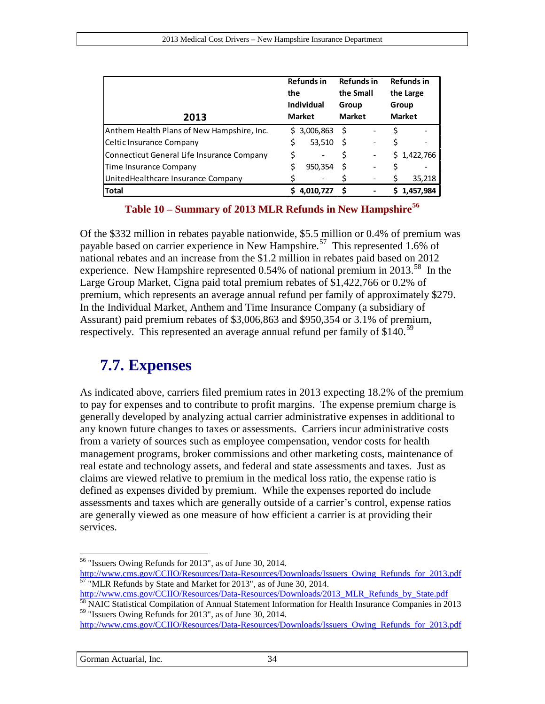| 2013                                       | <b>Refunds in</b><br>the<br><b>Individual</b><br><b>Market</b> | <b>Refunds in</b><br>the Small<br>Group<br><b>Market</b> | <b>Refunds in</b><br>the Large<br>Group<br><b>Market</b> |
|--------------------------------------------|----------------------------------------------------------------|----------------------------------------------------------|----------------------------------------------------------|
| Anthem Health Plans of New Hampshire, Inc. | \$3,006,863                                                    | S                                                        |                                                          |
| Celtic Insurance Company                   | \$<br>53,510                                                   |                                                          |                                                          |
| Connecticut General Life Insurance Company | \$                                                             |                                                          | \$1,422,766                                              |
| Time Insurance Company                     | 950,354                                                        |                                                          |                                                          |
| UnitedHealthcare Insurance Company         |                                                                |                                                          | 35,218                                                   |
| <b>Total</b>                               | 4,010,727                                                      |                                                          | 1,457,984                                                |

**Table 10 – Summary of 2013 MLR Refunds in New Hampshire[56](#page-33-1)**

<span id="page-33-0"></span>Of the \$332 million in rebates payable nationwide, \$5.5 million or 0.4% of premium was payable based on carrier experience in New Hampshire.<sup>[57](#page-33-2)</sup> This represented 1.6% of national rebates and an increase from the \$1.2 million in rebates paid based on 2012 experience. New Hampshire represented 0.54% of national premium in 2013.<sup>58</sup> In the Large Group Market, Cigna paid total premium rebates of \$1,422,766 or 0.2% of premium, which represents an average annual refund per family of approximately \$279. In the Individual Market, Anthem and Time Insurance Company (a subsidiary of Assurant) paid premium rebates of \$3,006,863 and \$950,354 or 3.1% of premium, respectively. This represented an average annual refund per family of \$140.<sup>[59](#page-33-4)</sup>

### **7.7. Expenses**

As indicated above, carriers filed premium rates in 2013 expecting 18.2% of the premium to pay for expenses and to contribute to profit margins. The expense premium charge is generally developed by analyzing actual carrier administrative expenses in additional to any known future changes to taxes or assessments. Carriers incur administrative costs from a variety of sources such as employee compensation, vendor costs for health management programs, broker commissions and other marketing costs, maintenance of real estate and technology assets, and federal and state assessments and taxes. Just as claims are viewed relative to premium in the medical loss ratio, the expense ratio is defined as expenses divided by premium. While the expenses reported do include assessments and taxes which are generally outside of a carrier's control, expense ratios are generally viewed as one measure of how efficient a carrier is at providing their services.

 $56$  "Issuers Owing Refunds for 2013", as of June 30, 2014.  $\overline{a}$ 

<span id="page-33-1"></span>[http://www.cms.gov/CCIIO/Resources/Data-Resources/Downloads/Issuers\\_Owing\\_Refunds\\_for\\_2013.pdf](http://www.cms.gov/CCIIO/Resources/Data-Resources/Downloads/Issuers_Owing_Refunds_for_2013.pdf)<br>
<sup>57</sup> "MLR Refunds by State and Market for 2013", as of June 30, 2014.<br>
http://www.cms.gov/CCIIO/Resources/Data-Resources/Downl

<span id="page-33-2"></span>

<span id="page-33-3"></span><sup>&</sup>lt;sup>58</sup> NAIC Statistical Compilation of Annual Statement Information for Health Insurance Companies in 2013 <sup>59</sup> "Issuers Owing Refunds for 2013", as of June 30, 2014.

<span id="page-33-4"></span>[http://www.cms.gov/CCIIO/Resources/Data-Resources/Downloads/Issuers\\_Owing\\_Refunds\\_for\\_2013.pdf](http://www.cms.gov/CCIIO/Resources/Data-Resources/Downloads/Issuers_Owing_Refunds_for_2013.pdf)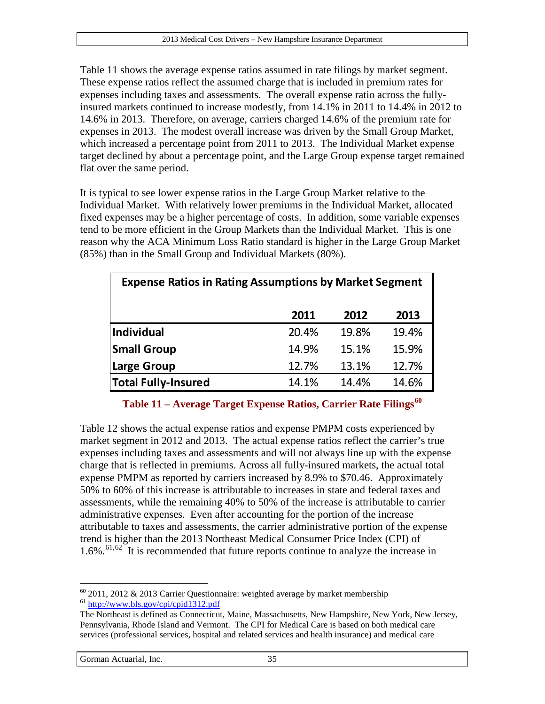[Table 11](#page-34-0) shows the average expense ratios assumed in rate filings by market segment. These expense ratios reflect the assumed charge that is included in premium rates for expenses including taxes and assessments. The overall expense ratio across the fullyinsured markets continued to increase modestly, from 14.1% in 2011 to 14.4% in 2012 to 14.6% in 2013. Therefore, on average, carriers charged 14.6% of the premium rate for expenses in 2013. The modest overall increase was driven by the Small Group Market, which increased a percentage point from 2011 to 2013. The Individual Market expense target declined by about a percentage point, and the Large Group expense target remained flat over the same period.

It is typical to see lower expense ratios in the Large Group Market relative to the Individual Market. With relatively lower premiums in the Individual Market, allocated fixed expenses may be a higher percentage of costs. In addition, some variable expenses tend to be more efficient in the Group Markets than the Individual Market. This is one reason why the ACA Minimum Loss Ratio standard is higher in the Large Group Market (85%) than in the Small Group and Individual Markets (80%).

| <b>Expense Ratios in Rating Assumptions by Market Segment</b> |       |       |       |
|---------------------------------------------------------------|-------|-------|-------|
|                                                               | 2011  | 2012  | 2013  |
| Individual                                                    | 20.4% | 19.8% | 19.4% |
| <b>Small Group</b>                                            | 14.9% | 15.1% | 15.9% |
| <b>Large Group</b>                                            | 12.7% | 13.1% | 12.7% |
| <b>Total Fully-Insured</b>                                    | 14.1% | 14.4% | 14.6% |

#### **Table 11 – Average Target Expense Ratios, Carrier Rate Filings[60](#page-34-1)**

<span id="page-34-0"></span>[Table 12](#page-35-0) shows the actual expense ratios and expense PMPM costs experienced by market segment in 2012 and 2013. The actual expense ratios reflect the carrier's true expenses including taxes and assessments and will not always line up with the expense charge that is reflected in premiums. Across all fully-insured markets, the actual total expense PMPM as reported by carriers increased by 8.9% to \$70.46. Approximately 50% to 60% of this increase is attributable to increases in state and federal taxes and assessments, while the remaining 40% to 50% of the increase is attributable to carrier administrative expenses. Even after accounting for the portion of the increase attributable to taxes and assessments, the carrier administrative portion of the expense trend is higher than the 2013 Northeast Medical Consumer Price Index (CPI) of  $1.6\%$ .<sup>[61,](#page-34-2)[62](#page-34-3)</sup> It is recommended that future reports continue to analyze the increase in

<span id="page-34-3"></span><span id="page-34-2"></span><span id="page-34-1"></span><sup>&</sup>lt;sup>60</sup> 2011, 2012 & 2013 Carrier Questionnaire: weighted average by market membership  $\frac{61 \text{ http://www.bls.gov/cpi/cpid1312.pdf}}{2}$  $\overline{a}$ 

The Northeast is defined as Connecticut, Maine, Massachusetts, New Hampshire, New York, New Jersey, Pennsylvania, Rhode Island and Vermont. The CPI for Medical Care is based on both medical care services (professional services, hospital and related services and health insurance) and medical care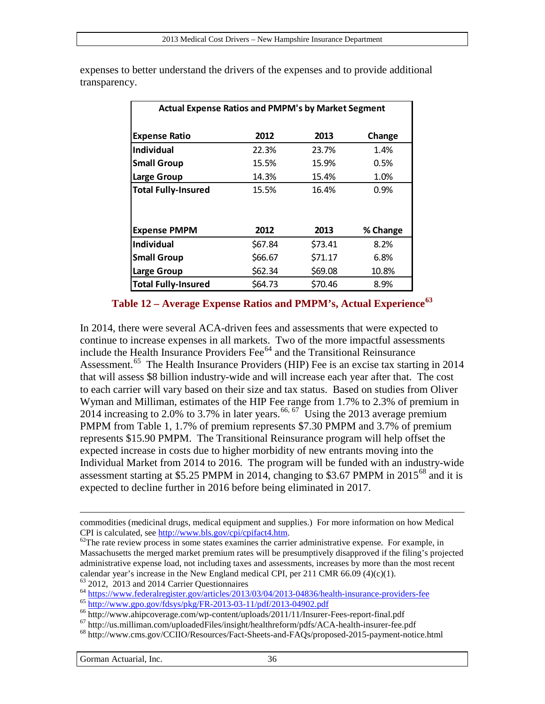| <b>Actual Expense Ratios and PMPM's by Market Segment</b> |         |         |          |
|-----------------------------------------------------------|---------|---------|----------|
| <b>Expense Ratio</b>                                      | 2012    | 2013    | Change   |
| <b>Individual</b>                                         | 22.3%   | 23.7%   | 1.4%     |
| <b>Small Group</b>                                        | 15.5%   | 15.9%   | 0.5%     |
| Large Group                                               | 14.3%   | 15.4%   | 1.0%     |
| <b>Total Fully-Insured</b>                                | 15.5%   | 16.4%   | 0.9%     |
| <b>Expense PMPM</b>                                       | 2012    | 2013    | % Change |
| Individual                                                | \$67.84 | \$73.41 | 8.2%     |
| <b>Small Group</b>                                        | \$66.67 | \$71.17 | 6.8%     |
| Large Group                                               | \$62.34 | \$69.08 | 10.8%    |
| <b>Total Fully-Insured</b>                                | \$64.73 | \$70.46 | 8.9%     |

expenses to better understand the drivers of the expenses and to provide additional transparency.

#### **Table 12 – Average Expense Ratios and PMPM's, Actual Experience[63](#page-35-1)**

<span id="page-35-0"></span>In 2014, there were several ACA-driven fees and assessments that were expected to continue to increase expenses in all markets. Two of the more impactful assessments include the Health Insurance Providers Fee $<sup>64</sup>$  $<sup>64</sup>$  $<sup>64</sup>$  and the Transitional Reinsurance</sup> Assessment.<sup>[65](#page-35-3)</sup> The Health Insurance Providers (HIP) Fee is an excise tax starting in 2014 that will assess \$8 billion industry-wide and will increase each year after that. The cost to each carrier will vary based on their size and tax status. Based on studies from Oliver Wyman and Milliman, estimates of the HIP Fee range from 1.7% to 2.3% of premium in 2014 increasing to 2.0% to 3.7% in later years.<sup>[66,](#page-35-4) [67](#page-35-5)</sup> Using the 2013 average premium PMPM from [Table 1,](#page-10-0) 1.7% of premium represents \$7.30 PMPM and 3.7% of premium represents \$15.90 PMPM. The Transitional Reinsurance program will help offset the expected increase in costs due to higher morbidity of new entrants moving into the Individual Market from 2014 to 2016. The program will be funded with an industry-wide assessment starting at \$5.25 PMPM in 2014, changing to \$3.67 PMPM in  $2015^{68}$  $2015^{68}$  $2015^{68}$  and it is expected to decline further in 2016 before being eliminated in 2017.

commodities (medicinal drugs, medical equipment and supplies.) For more information on how Medical CPI is calculated, see http://www.bls.gov/cpi/cpifact4.htm.

 $^{62}$ The rate review process in some states examines the carrier administrative expense. For example, in Massachusetts the merged market premium rates will be presumptively disapproved if the filing's projected administrative expense load, not including taxes and assessments, increases by more than the most recent calendar year's increase in the New England medical CPI, per 211 CMR 66.09 (4)(c)(1).<br>  $^{63}$  2012, 2013 and 2014 Carrier Questionnaires<br>  $^{64}$  https://www.federalregister.gov/articles/2013/03/04/2013-04836/health-insura

<span id="page-35-2"></span><span id="page-35-1"></span>

<span id="page-35-3"></span>

<span id="page-35-5"></span><span id="page-35-4"></span>

<span id="page-35-6"></span>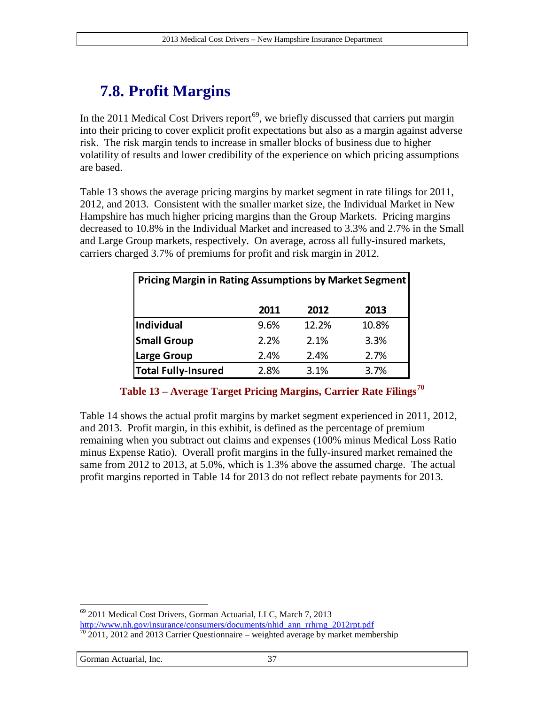# **7.8. Profit Margins**

In the 2011 Medical Cost Drivers report<sup>[69](#page-36-1)</sup>, we briefly discussed that carriers put margin into their pricing to cover explicit profit expectations but also as a margin against adverse risk. The risk margin tends to increase in smaller blocks of business due to higher volatility of results and lower credibility of the experience on which pricing assumptions are based.

[Table 13](#page-36-0) shows the average pricing margins by market segment in rate filings for 2011, 2012, and 2013. Consistent with the smaller market size, the Individual Market in New Hampshire has much higher pricing margins than the Group Markets. Pricing margins decreased to 10.8% in the Individual Market and increased to 3.3% and 2.7% in the Small and Large Group markets, respectively. On average, across all fully-insured markets, carriers charged 3.7% of premiums for profit and risk margin in 2012.

| Pricing Margin in Rating Assumptions by Market Segment |      |       |       |  |
|--------------------------------------------------------|------|-------|-------|--|
|                                                        | 2011 | 2012  | 2013  |  |
| <b>Individual</b>                                      | 9.6% | 12.2% | 10.8% |  |
| <b>Small Group</b>                                     | 2.2% | 2.1%  | 3.3%  |  |
| Large Group                                            | 2.4% | 2.4%  | 2.7%  |  |
| <b>Total Fully-Insured</b>                             | 2.8% | 3.1%  | 3.7%  |  |

**Table 13 – Average Target Pricing Margins, Carrier Rate Filings[70](#page-36-2)**

<span id="page-36-0"></span>[Table 14](#page-37-0) shows the actual profit margins by market segment experienced in 2011, 2012, and 2013. Profit margin, in this exhibit, is defined as the percentage of premium remaining when you subtract out claims and expenses (100% minus Medical Loss Ratio minus Expense Ratio). Overall profit margins in the fully-insured market remained the same from 2012 to 2013, at 5.0%, which is 1.3% above the assumed charge. The actual profit margins reported in [Table 14](#page-37-0) for 2013 do not reflect rebate payments for 2013.

<span id="page-36-1"></span><sup>69</sup> 2011 Medical Cost Drivers, Gorman Actuarial, LLC, March 7, 2013 [http://www.nh.gov/insurance/consumers/documents/nhid\\_ann\\_rrhrng\\_2012rpt.pdf](http://www.nh.gov/insurance/consumers/documents/nhid_ann_rrhrng_2012rpt.pdf)  $\frac{70}{2011}$ , 2012 and 2013 Carrier Questionnaire – weighted average by market membership  $\overline{a}$ 

<span id="page-36-2"></span>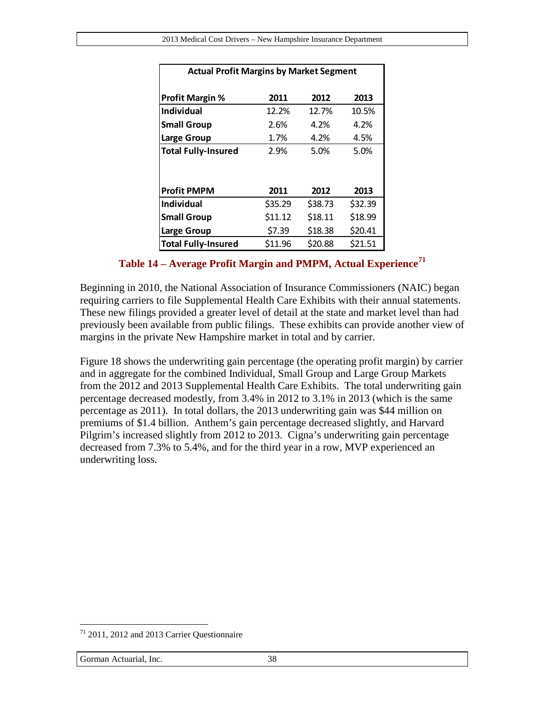| <b>Actual Profit Margins by Market Segment</b> |         |         |         |  |
|------------------------------------------------|---------|---------|---------|--|
| <b>Profit Margin %</b>                         | 2011    | 2012    | 2013    |  |
| <b>Individual</b>                              | 12.2%   | 12.7%   | 10.5%   |  |
| <b>Small Group</b>                             | 2.6%    | 4.2%    | 4.2%    |  |
| Large Group                                    | 1.7%    | 4.2%    | 4.5%    |  |
| <b>Total Fully-Insured</b>                     | 2.9%    | 5.0%    | 5.0%    |  |
|                                                |         |         |         |  |
| <b>Profit PMPM</b>                             | 2011    | 2012    | 2013    |  |
| <b>Individual</b>                              | \$35.29 | \$38.73 | \$32.39 |  |
| <b>Small Group</b>                             | \$11.12 | \$18.11 | \$18.99 |  |
| Large Group                                    | \$7.39  | \$18.38 | \$20.41 |  |
| <b>Total Fully-Insured</b>                     | \$11.96 | \$20.88 | \$21.51 |  |

**Table 14 – Average Profit Margin and PMPM, Actual Experience[71](#page-37-1)**

<span id="page-37-0"></span>Beginning in 2010, the National Association of Insurance Commissioners (NAIC) began requiring carriers to file Supplemental Health Care Exhibits with their annual statements. These new filings provided a greater level of detail at the state and market level than had previously been available from public filings. These exhibits can provide another view of margins in the private New Hampshire market in total and by carrier.

[Figure 18](#page-38-0) shows the underwriting gain percentage (the operating profit margin) by carrier and in aggregate for the combined Individual, Small Group and Large Group Markets from the 2012 and 2013 Supplemental Health Care Exhibits. The total underwriting gain percentage decreased modestly, from 3.4% in 2012 to 3.1% in 2013 (which is the same percentage as 2011). In total dollars, the 2013 underwriting gain was \$44 million on premiums of \$1.4 billion. Anthem's gain percentage decreased slightly, and Harvard Pilgrim's increased slightly from 2012 to 2013. Cigna's underwriting gain percentage decreased from 7.3% to 5.4%, and for the third year in a row, MVP experienced an underwriting loss.

<span id="page-37-1"></span><sup>71</sup> 2011, 2012 and 2013 Carrier Questionnaire  $\overline{a}$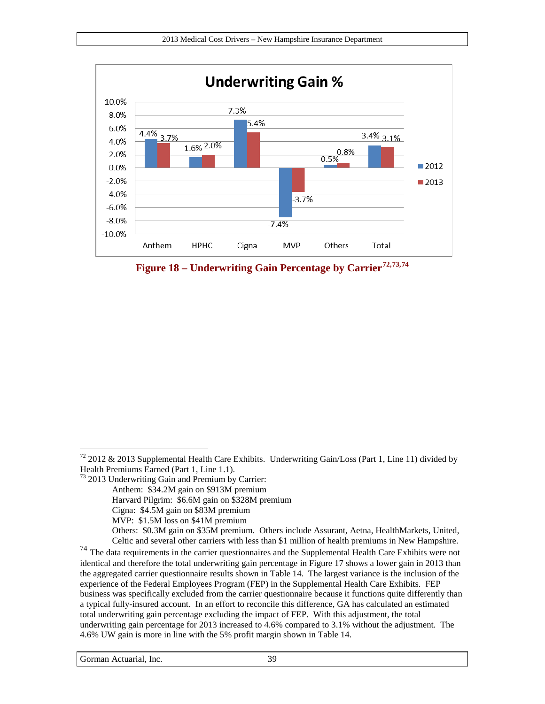

<span id="page-38-0"></span>**Figure 18 – Underwriting Gain Percentage by Carrier[72](#page-38-1),[73,](#page-38-2)[74](#page-38-3)**

- <span id="page-38-2"></span><sup>73</sup> 2013 Underwriting Gain and Premium by Carrier:
	- Anthem: \$34.2M gain on \$913M premium
	- Harvard Pilgrim: \$6.6M gain on \$328M premium
	- Cigna: \$4.5M gain on \$83M premium
	- MVP: \$1.5M loss on \$41M premium
- Others: \$0.3M gain on \$35M premium. Others include Assurant, Aetna, HealthMarkets, United, Celtic and several other carriers with less than \$1 million of health premiums in New Hampshire. <sup>74</sup> The data requirements in the carrier questionnaires and the Supplemental Health Care Exhibits were not

<span id="page-38-3"></span>identical and therefore the total underwriting gain percentage in [Figure 17](#page-38-0) shows a lower gain in 2013 than the aggregated carrier questionnaire results shown i[n Table 14.](#page-37-0) The largest variance is the inclusion of the experience of the Federal Employees Program (FEP) in the Supplemental Health Care Exhibits. FEP business was specifically excluded from the carrier questionnaire because it functions quite differently than a typical fully-insured account. In an effort to reconcile this difference, GA has calculated an estimated total underwriting gain percentage excluding the impact of FEP. With this adjustment, the total underwriting gain percentage for 2013 increased to 4.6% compared to 3.1% without the adjustment. The 4.6% UW gain is more in line with the 5% profit margin shown in [Table 14.](#page-37-0)

<span id="page-38-1"></span> $72$  2012 & 2013 Supplemental Health Care Exhibits. Underwriting Gain/Loss (Part 1, Line 11) divided by Health Premiums Earned (Part 1, Line 1.1).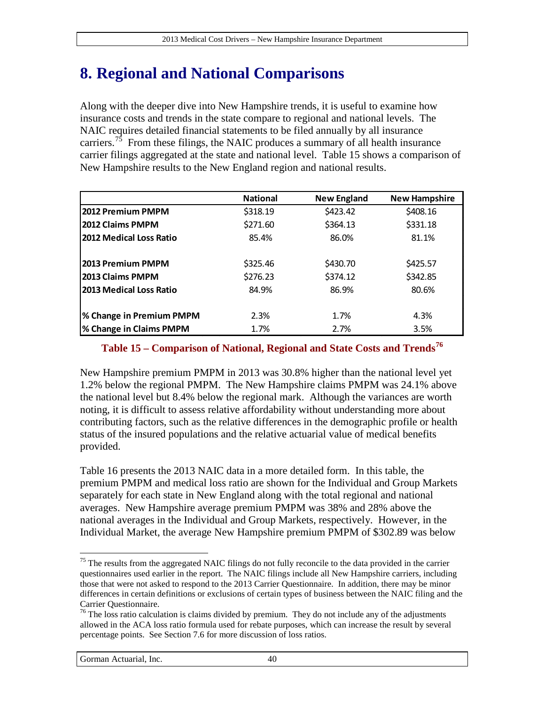# <span id="page-39-0"></span>**8. Regional and National Comparisons**

Along with the deeper dive into New Hampshire trends, it is useful to examine how insurance costs and trends in the state compare to regional and national levels. The NAIC requires detailed financial statements to be filed annually by all insurance carriers.<sup>75</sup> From these filings, the NAIC produces a summary of all health insurance carrier filings aggregated at the state and national level. [Table 15](#page-39-1) shows a comparison of New Hampshire results to the New England region and national results.

|                                 | <b>National</b> | <b>New England</b> | <b>New Hampshire</b> |
|---------------------------------|-----------------|--------------------|----------------------|
| 2012 Premium PMPM               | \$318.19        | \$423.42           | \$408.16             |
| 2012 Claims PMPM                | \$271.60        | \$364.13           | \$331.18             |
| 2012 Medical Loss Ratio         | 85.4%           | 86.0%              | 81.1%                |
| 2013 Premium PMPM               | \$325.46        | \$430.70           | \$425.57             |
| 2013 Claims PMPM                | \$276.23        | \$374.12           | \$342.85             |
| 2013 Medical Loss Ratio         | 84.9%           | 86.9%              | 80.6%                |
| <b>% Change in Premium PMPM</b> | 2.3%            | 1.7%               | 4.3%                 |
| <b>% Change in Claims PMPM</b>  | 1.7%            | 2.7%               | 3.5%                 |

#### <span id="page-39-1"></span>**Table 15 – Comparison of National, Regional and State Costs and Trends[76](#page-39-3)**

New Hampshire premium PMPM in 2013 was 30.8% higher than the national level yet 1.2% below the regional PMPM. The New Hampshire claims PMPM was 24.1% above the national level but 8.4% below the regional mark. Although the variances are worth noting, it is difficult to assess relative affordability without understanding more about contributing factors, such as the relative differences in the demographic profile or health status of the insured populations and the relative actuarial value of medical benefits provided.

[Table 16](#page-40-1) presents the 2013 NAIC data in a more detailed form. In this table, the premium PMPM and medical loss ratio are shown for the Individual and Group Markets separately for each state in New England along with the total regional and national averages. New Hampshire average premium PMPM was 38% and 28% above the national averages in the Individual and Group Markets, respectively. However, in the Individual Market, the average New Hampshire premium PMPM of \$302.89 was below

<span id="page-39-2"></span> $75$  The results from the aggregated NAIC filings do not fully reconcile to the data provided in the carrier questionnaires used earlier in the report. The NAIC filings include all New Hampshire carriers, including those that were not asked to respond to the 2013 Carrier Questionnaire. In addition, there may be minor differences in certain definitions or exclusions of certain types of business between the NAIC filing and the Carrier Questionnaire.  $\overline{a}$ 

<span id="page-39-3"></span><sup>&</sup>lt;sup>76</sup> The loss ratio calculation is claims divided by premium. They do not include any of the adjustments allowed in the ACA loss ratio formula used for rebate purposes, which can increase the result by several percentage points. See Section [7.6](#page-31-2) for more discussion of loss ratios.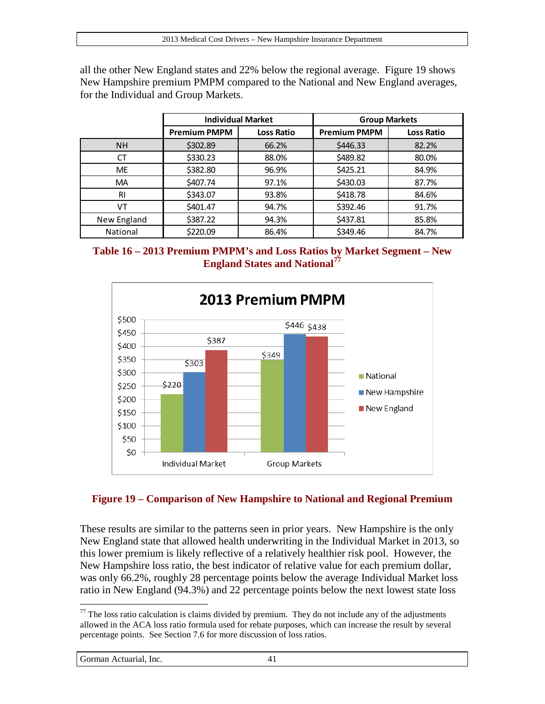all the other New England states and 22% below the regional average. [Figure 19](#page-40-0) shows New Hampshire premium PMPM compared to the National and New England averages, for the Individual and Group Markets.

|             | <b>Individual Market</b> |            | <b>Group Markets</b> |                   |
|-------------|--------------------------|------------|----------------------|-------------------|
|             | <b>Premium PMPM</b>      | Loss Ratio | <b>Premium PMPM</b>  | <b>Loss Ratio</b> |
| <b>NH</b>   | \$302.89                 | 66.2%      | \$446.33             | 82.2%             |
| <b>CT</b>   | \$330.23                 | 88.0%      | \$489.82             | 80.0%             |
| <b>ME</b>   | \$382.80                 | 96.9%      | \$425.21             | 84.9%             |
| <b>MA</b>   | \$407.74                 | 97.1%      | \$430.03             | 87.7%             |
| RI          | \$343.07                 | 93.8%      | \$418.78             | 84.6%             |
| VT          | \$401.47                 | 94.7%      | \$392.46             | 91.7%             |
| New England | \$387.22                 | 94.3%      | \$437.81             | 85.8%             |
| National    | \$220.09                 | 86.4%      | \$349.46             | 84.7%             |

<span id="page-40-1"></span>



#### <span id="page-40-0"></span>**Figure 19 – Comparison of New Hampshire to National and Regional Premium**

These results are similar to the patterns seen in prior years. New Hampshire is the only New England state that allowed health underwriting in the Individual Market in 2013, so this lower premium is likely reflective of a relatively healthier risk pool. However, the New Hampshire loss ratio, the best indicator of relative value for each premium dollar, was only 66.2%, roughly 28 percentage points below the average Individual Market loss ratio in New England (94.3%) and 22 percentage points below the next lowest state loss

Gorman Actuarial, Inc. 41

<span id="page-40-2"></span> $77$  The loss ratio calculation is claims divided by premium. They do not include any of the adjustments allowed in the ACA loss ratio formula used for rebate purposes, which can increase the result by several percentage points. See Section [7.6](#page-31-2) for more discussion of loss ratios.  $\overline{a}$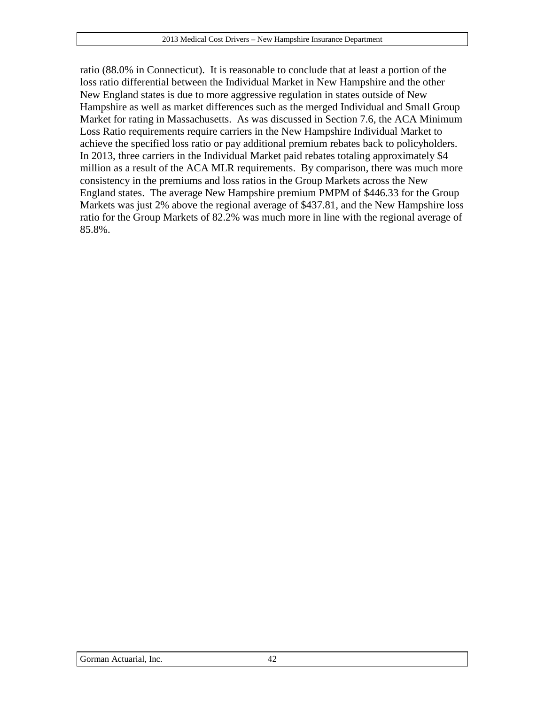ratio (88.0% in Connecticut). It is reasonable to conclude that at least a portion of the loss ratio differential between the Individual Market in New Hampshire and the other New England states is due to more aggressive regulation in states outside of New Hampshire as well as market differences such as the merged Individual and Small Group Market for rating in Massachusetts. As was discussed in Section [7.6,](#page-31-2) the ACA Minimum Loss Ratio requirements require carriers in the New Hampshire Individual Market to achieve the specified loss ratio or pay additional premium rebates back to policyholders. In 2013, three carriers in the Individual Market paid rebates totaling approximately \$4 million as a result of the ACA MLR requirements. By comparison, there was much more consistency in the premiums and loss ratios in the Group Markets across the New England states. The average New Hampshire premium PMPM of \$446.33 for the Group Markets was just 2% above the regional average of \$437.81, and the New Hampshire loss ratio for the Group Markets of 82.2% was much more in line with the regional average of 85.8%.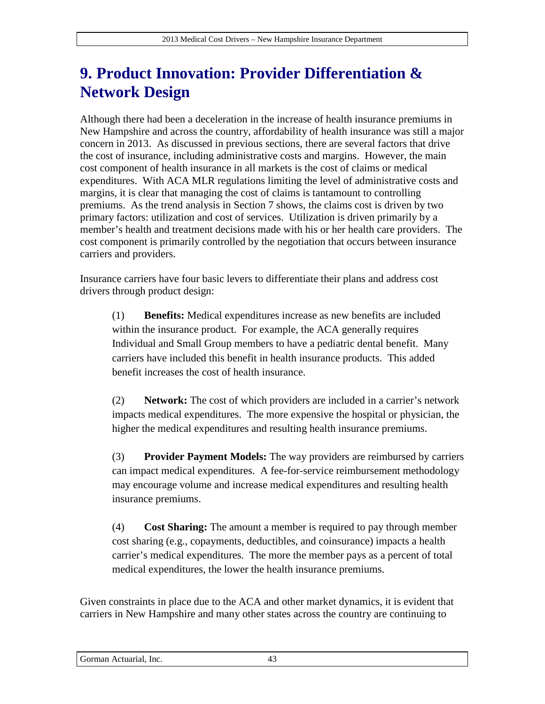# **9. Product Innovation: Provider Differentiation & Network Design**

Although there had been a deceleration in the increase of health insurance premiums in New Hampshire and across the country, affordability of health insurance was still a major concern in 2013. As discussed in previous sections, there are several factors that drive the cost of insurance, including administrative costs and margins. However, the main cost component of health insurance in all markets is the cost of claims or medical expenditures. With ACA MLR regulations limiting the level of administrative costs and margins, it is clear that managing the cost of claims is tantamount to controlling premiums. As the trend analysis in Section [7](#page-18-3) shows, the claims cost is driven by two primary factors: utilization and cost of services. Utilization is driven primarily by a member's health and treatment decisions made with his or her health care providers. The cost component is primarily controlled by the negotiation that occurs between insurance carriers and providers.

Insurance carriers have four basic levers to differentiate their plans and address cost drivers through product design:

(1) **Benefits:** Medical expenditures increase as new benefits are included within the insurance product. For example, the ACA generally requires Individual and Small Group members to have a pediatric dental benefit. Many carriers have included this benefit in health insurance products. This added benefit increases the cost of health insurance.

(2) **Network:** The cost of which providers are included in a carrier's network impacts medical expenditures. The more expensive the hospital or physician, the higher the medical expenditures and resulting health insurance premiums.

(3) **Provider Payment Models:** The way providers are reimbursed by carriers can impact medical expenditures. A fee-for-service reimbursement methodology may encourage volume and increase medical expenditures and resulting health insurance premiums.

(4) **Cost Sharing:** The amount a member is required to pay through member cost sharing (e.g., copayments, deductibles, and coinsurance) impacts a health carrier's medical expenditures. The more the member pays as a percent of total medical expenditures, the lower the health insurance premiums.

Given constraints in place due to the ACA and other market dynamics, it is evident that carriers in New Hampshire and many other states across the country are continuing to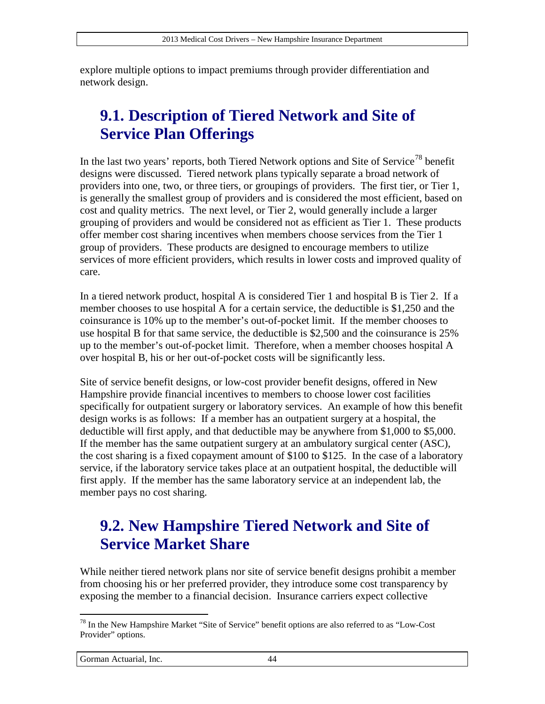explore multiple options to impact premiums through provider differentiation and network design.

# **9.1. Description of Tiered Network and Site of Service Plan Offerings**

In the last two years' reports, both Tiered Network options and Site of Service<sup>[78](#page-43-0)</sup> benefit designs were discussed. Tiered network plans typically separate a broad network of providers into one, two, or three tiers, or groupings of providers. The first tier, or Tier 1, is generally the smallest group of providers and is considered the most efficient, based on cost and quality metrics. The next level, or Tier 2, would generally include a larger grouping of providers and would be considered not as efficient as Tier 1. These products offer member cost sharing incentives when members choose services from the Tier 1 group of providers. These products are designed to encourage members to utilize services of more efficient providers, which results in lower costs and improved quality of care.

In a tiered network product, hospital A is considered Tier 1 and hospital B is Tier 2. If a member chooses to use hospital A for a certain service, the deductible is \$1,250 and the coinsurance is 10% up to the member's out-of-pocket limit. If the member chooses to use hospital B for that same service, the deductible is \$2,500 and the coinsurance is 25% up to the member's out-of-pocket limit. Therefore, when a member chooses hospital A over hospital B, his or her out-of-pocket costs will be significantly less.

Site of service benefit designs, or low-cost provider benefit designs, offered in New Hampshire provide financial incentives to members to choose lower cost facilities specifically for outpatient surgery or laboratory services. An example of how this benefit design works is as follows: If a member has an outpatient surgery at a hospital, the deductible will first apply, and that deductible may be anywhere from \$1,000 to \$5,000. If the member has the same outpatient surgery at an ambulatory surgical center (ASC), the cost sharing is a fixed copayment amount of \$100 to \$125. In the case of a laboratory service, if the laboratory service takes place at an outpatient hospital, the deductible will first apply. If the member has the same laboratory service at an independent lab, the member pays no cost sharing.

### **9.2. New Hampshire Tiered Network and Site of Service Market Share**

While neither tiered network plans nor site of service benefit designs prohibit a member from choosing his or her preferred provider, they introduce some cost transparency by exposing the member to a financial decision. Insurance carriers expect collective

<span id="page-43-0"></span> $78$  In the New Hampshire Market "Site of Service" benefit options are also referred to as "Low-Cost" Provider" options.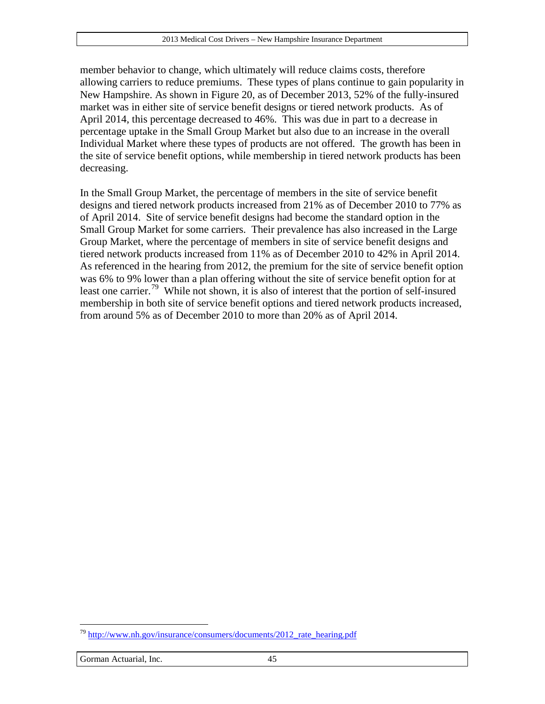member behavior to change, which ultimately will reduce claims costs, therefore allowing carriers to reduce premiums. These types of plans continue to gain popularity in New Hampshire. As shown in [Figure 20,](#page-45-0) as of December 2013, 52% of the fully-insured market was in either site of service benefit designs or tiered network products. As of April 2014, this percentage decreased to 46%. This was due in part to a decrease in percentage uptake in the Small Group Market but also due to an increase in the overall Individual Market where these types of products are not offered. The growth has been in the site of service benefit options, while membership in tiered network products has been decreasing.

In the Small Group Market, the percentage of members in the site of service benefit designs and tiered network products increased from 21% as of December 2010 to 77% as of April 2014. Site of service benefit designs had become the standard option in the Small Group Market for some carriers. Their prevalence has also increased in the Large Group Market, where the percentage of members in site of service benefit designs and tiered network products increased from 11% as of December 2010 to 42% in April 2014. As referenced in the hearing from 2012, the premium for the site of service benefit option was 6% to 9% lower than a plan offering without the site of service benefit option for at least one carrier.<sup>[79](#page-44-0)</sup> While not shown, it is also of interest that the portion of self-insured membership in both site of service benefit options and tiered network products increased, from around 5% as of December 2010 to more than 20% as of April 2014.

#### Gorman Actuarial, Inc. 45

<span id="page-44-0"></span><sup>79</sup> [http://www.nh.gov/insurance/consumers/documents/2012\\_rate\\_hearing.pdf](http://www.nh.gov/insurance/consumers/documents/2012_rate_hearing.pdf)  $\overline{a}$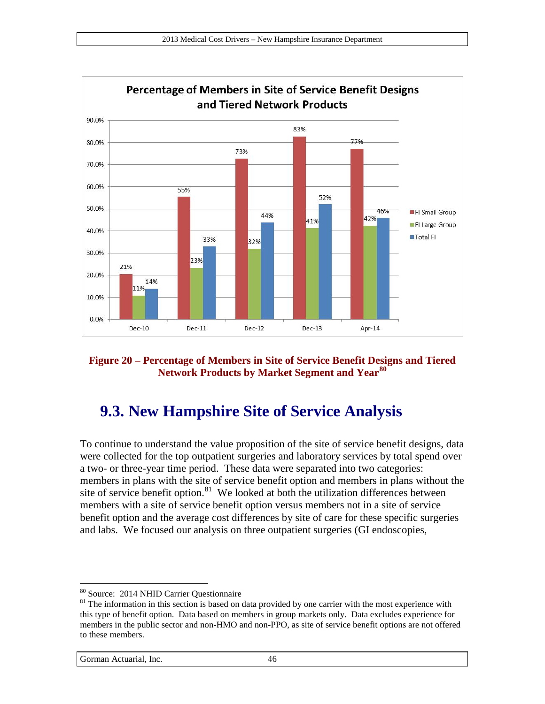

<span id="page-45-0"></span>**Figure 20 – Percentage of Members in Site of Service Benefit Designs and Tiered Network Products by Market Segment and Year[80](#page-45-1)**

### **9.3. New Hampshire Site of Service Analysis**

To continue to understand the value proposition of the site of service benefit designs, data were collected for the top outpatient surgeries and laboratory services by total spend over a two- or three-year time period. These data were separated into two categories: members in plans with the site of service benefit option and members in plans without the site of service benefit option. $81$  We looked at both the utilization differences between members with a site of service benefit option versus members not in a site of service benefit option and the average cost differences by site of care for these specific surgeries and labs. We focused our analysis on three outpatient surgeries (GI endoscopies,

<span id="page-45-1"></span><sup>&</sup>lt;sup>80</sup> Source: 2014 NHID Carrier Questionnaire

<span id="page-45-2"></span> $81$  The information in this section is based on data provided by one carrier with the most experience with this type of benefit option. Data based on members in group markets only. Data excludes experience for members in the public sector and non-HMO and non-PPO, as site of service benefit options are not offered to these members.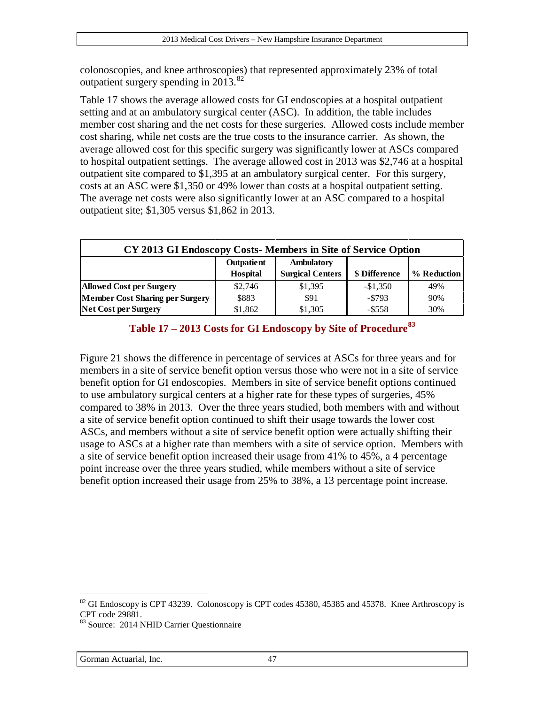colonoscopies, and knee arthroscopies) that represented approximately 23% of total outpatient surgery spending in  $2013^{82}$  $2013^{82}$  $2013^{82}$ 

[Table 17](#page-46-0) shows the average allowed costs for GI endoscopies at a hospital outpatient setting and at an ambulatory surgical center (ASC). In addition, the table includes member cost sharing and the net costs for these surgeries. Allowed costs include member cost sharing, while net costs are the true costs to the insurance carrier. As shown, the average allowed cost for this specific surgery was significantly lower at ASCs compared to hospital outpatient settings. The average allowed cost in 2013 was \$2,746 at a hospital outpatient site compared to \$1,395 at an ambulatory surgical center. For this surgery, costs at an ASC were \$1,350 or 49% lower than costs at a hospital outpatient setting. The average net costs were also significantly lower at an ASC compared to a hospital outpatient site; \$1,305 versus \$1,862 in 2013.

| CY 2013 GI Endoscopy Costs-Members in Site of Service Option |            |                         |               |             |  |
|--------------------------------------------------------------|------------|-------------------------|---------------|-------------|--|
|                                                              | Outpatient | Ambulatory              |               |             |  |
|                                                              | Hospital   | <b>Surgical Centers</b> | \$ Difference | % Reduction |  |
| <b>Allowed Cost per Surgery</b>                              | \$2,746    | \$1,395                 | $-$1,350$     | 49%         |  |
| <b>Member Cost Sharing per Surgery</b>                       | \$883      | \$91                    | $-5793$       | 90%         |  |
| Net Cost per Surgery                                         | \$1,862    | \$1,305                 | $-$ \$558     | 30%         |  |

| Table 17 – 2013 Costs for GI Endoscopy by Site of Procedure <sup>83</sup> |  |
|---------------------------------------------------------------------------|--|
|---------------------------------------------------------------------------|--|

<span id="page-46-0"></span>[Figure 21](#page-47-0) shows the difference in percentage of services at ASCs for three years and for members in a site of service benefit option versus those who were not in a site of service benefit option for GI endoscopies. Members in site of service benefit options continued to use ambulatory surgical centers at a higher rate for these types of surgeries, 45% compared to 38% in 2013. Over the three years studied, both members with and without a site of service benefit option continued to shift their usage towards the lower cost ASCs, and members without a site of service benefit option were actually shifting their usage to ASCs at a higher rate than members with a site of service option. Members with a site of service benefit option increased their usage from 41% to 45%, a 4 percentage point increase over the three years studied, while members without a site of service benefit option increased their usage from 25% to 38%, a 13 percentage point increase.

<span id="page-46-1"></span><sup>&</sup>lt;sup>82</sup> GI Endoscopy is CPT 43239. Colonoscopy is CPT codes 45380, 45385 and 45378. Knee Arthroscopy is CPT code 29881.

<span id="page-46-2"></span><sup>83</sup> Source: 2014 NHID Carrier Questionnaire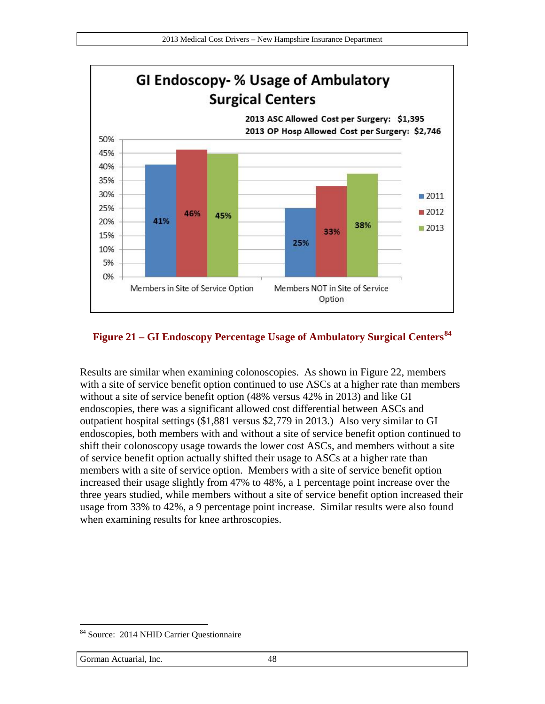

#### <span id="page-47-0"></span>**Figure 21 – GI Endoscopy Percentage Usage of Ambulatory Surgical Centers[84](#page-47-1)**

Results are similar when examining colonoscopies. As shown in [Figure 22,](#page-48-0) members with a site of service benefit option continued to use ASCs at a higher rate than members without a site of service benefit option (48% versus 42% in 2013) and like GI endoscopies, there was a significant allowed cost differential between ASCs and outpatient hospital settings (\$1,881 versus \$2,779 in 2013.) Also very similar to GI endoscopies, both members with and without a site of service benefit option continued to shift their colonoscopy usage towards the lower cost ASCs, and members without a site of service benefit option actually shifted their usage to ASCs at a higher rate than members with a site of service option. Members with a site of service benefit option increased their usage slightly from 47% to 48%, a 1 percentage point increase over the three years studied, while members without a site of service benefit option increased their usage from 33% to 42%, a 9 percentage point increase. Similar results were also found when examining results for knee arthroscopies.

<span id="page-47-1"></span><sup>&</sup>lt;sup>84</sup> Source: 2014 NHID Carrier Questionnaire  $\overline{a}$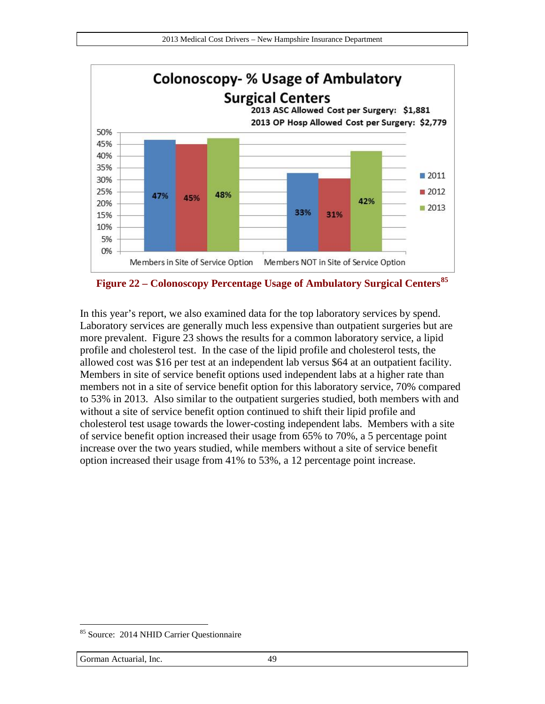

<span id="page-48-0"></span>**Figure 22 – Colonoscopy Percentage Usage of Ambulatory Surgical Centers[85](#page-48-1)**

In this year's report, we also examined data for the top laboratory services by spend. Laboratory services are generally much less expensive than outpatient surgeries but are more prevalent. [Figure 23](#page-49-0) shows the results for a common laboratory service, a lipid profile and cholesterol test. In the case of the lipid profile and cholesterol tests, the allowed cost was \$16 per test at an independent lab versus \$64 at an outpatient facility. Members in site of service benefit options used independent labs at a higher rate than members not in a site of service benefit option for this laboratory service, 70% compared to 53% in 2013. Also similar to the outpatient surgeries studied, both members with and without a site of service benefit option continued to shift their lipid profile and cholesterol test usage towards the lower-costing independent labs. Members with a site of service benefit option increased their usage from 65% to 70%, a 5 percentage point increase over the two years studied, while members without a site of service benefit option increased their usage from 41% to 53%, a 12 percentage point increase.

<span id="page-48-1"></span><sup>&</sup>lt;sup>85</sup> Source: 2014 NHID Carrier Questionnaire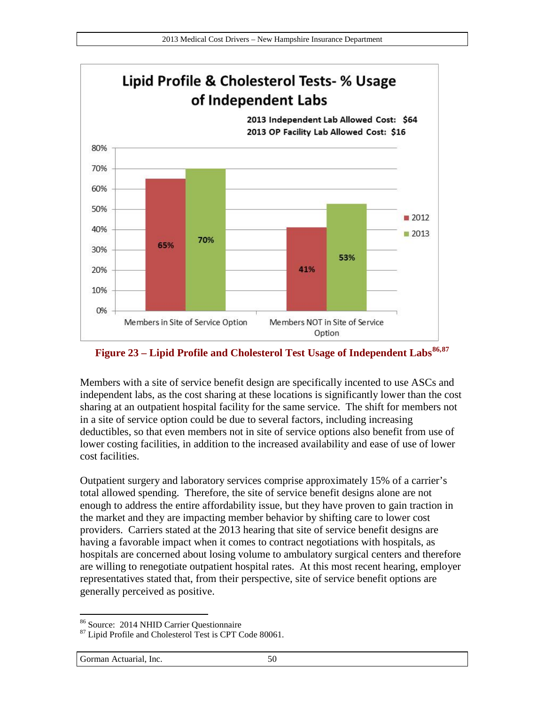

#### <span id="page-49-0"></span>**Figure 23 – Lipid Profile and Cholesterol Test Usage of Independent Labs[86](#page-49-1),[87](#page-49-2)**

Members with a site of service benefit design are specifically incented to use ASCs and independent labs, as the cost sharing at these locations is significantly lower than the cost sharing at an outpatient hospital facility for the same service. The shift for members not in a site of service option could be due to several factors, including increasing deductibles, so that even members not in site of service options also benefit from use of lower costing facilities, in addition to the increased availability and ease of use of lower cost facilities.

Outpatient surgery and laboratory services comprise approximately 15% of a carrier's total allowed spending. Therefore, the site of service benefit designs alone are not enough to address the entire affordability issue, but they have proven to gain traction in the market and they are impacting member behavior by shifting care to lower cost providers. Carriers stated at the 2013 hearing that site of service benefit designs are having a favorable impact when it comes to contract negotiations with hospitals, as hospitals are concerned about losing volume to ambulatory surgical centers and therefore are willing to renegotiate outpatient hospital rates. At this most recent hearing, employer representatives stated that, from their perspective, site of service benefit options are generally perceived as positive.

<span id="page-49-1"></span><sup>86</sup> Source: 2014 NHID Carrier Ouestionnaire

<span id="page-49-2"></span><sup>&</sup>lt;sup>87</sup> Lipid Profile and Cholesterol Test is CPT Code 80061.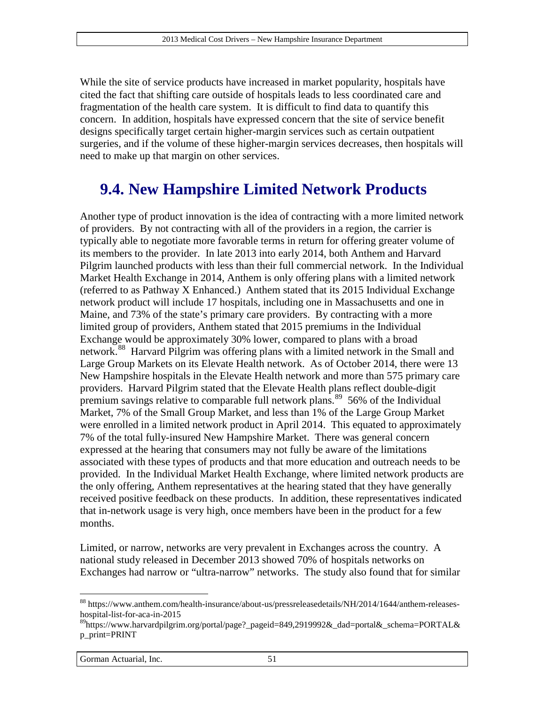While the site of service products have increased in market popularity, hospitals have cited the fact that shifting care outside of hospitals leads to less coordinated care and fragmentation of the health care system. It is difficult to find data to quantify this concern. In addition, hospitals have expressed concern that the site of service benefit designs specifically target certain higher-margin services such as certain outpatient surgeries, and if the volume of these higher-margin services decreases, then hospitals will need to make up that margin on other services.

#### **9.4. New Hampshire Limited Network Products**

Another type of product innovation is the idea of contracting with a more limited network of providers. By not contracting with all of the providers in a region, the carrier is typically able to negotiate more favorable terms in return for offering greater volume of its members to the provider. In late 2013 into early 2014, both Anthem and Harvard Pilgrim launched products with less than their full commercial network. In the Individual Market Health Exchange in 2014, Anthem is only offering plans with a limited network (referred to as Pathway X Enhanced.) Anthem stated that its 2015 Individual Exchange network product will include 17 hospitals, including one in Massachusetts and one in Maine, and 73% of the state's primary care providers. By contracting with a more limited group of providers, Anthem stated that 2015 premiums in the Individual Exchange would be approximately 30% lower, compared to plans with a broad network.<sup>[88](#page-50-0)</sup> Harvard Pilgrim was offering plans with a limited network in the Small and Large Group Markets on its Elevate Health network. As of October 2014, there were 13 New Hampshire hospitals in the Elevate Health network and more than 575 primary care providers. Harvard Pilgrim stated that the Elevate Health plans reflect double-digit premium savings relative to comparable full network plans.<sup>89</sup> 56% of the Individual Market, 7% of the Small Group Market, and less than 1% of the Large Group Market were enrolled in a limited network product in April 2014. This equated to approximately 7% of the total fully-insured New Hampshire Market. There was general concern expressed at the hearing that consumers may not fully be aware of the limitations associated with these types of products and that more education and outreach needs to be provided. In the Individual Market Health Exchange, where limited network products are the only offering, Anthem representatives at the hearing stated that they have generally received positive feedback on these products. In addition, these representatives indicated that in-network usage is very high, once members have been in the product for a few months.

Limited, or narrow, networks are very prevalent in Exchanges across the country. A national study released in December 2013 showed 70% of hospitals networks on Exchanges had narrow or "ultra-narrow" networks. The study also found that for similar

<span id="page-50-0"></span><sup>88</sup> https://www.anthem.com/health-insurance/about-us/pressreleasedetails/NH/2014/1644/anthem-releaseshospital-list-for-aca-in-2015

<span id="page-50-1"></span><sup>89</sup>https://www.harvardpilgrim.org/portal/page?\_pageid=849,2919992&\_dad=portal&\_schema=PORTAL& p\_print=PRINT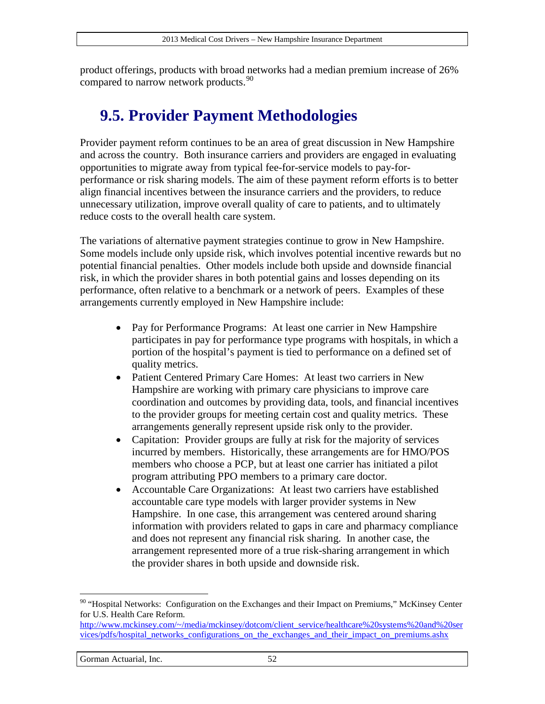product offerings, products with broad networks had a median premium increase of 26% compared to narrow network products.<sup>90</sup>

### **9.5. Provider Payment Methodologies**

Provider payment reform continues to be an area of great discussion in New Hampshire and across the country. Both insurance carriers and providers are engaged in evaluating opportunities to migrate away from typical fee-for-service models to pay-forperformance or risk sharing models. The aim of these payment reform efforts is to better align financial incentives between the insurance carriers and the providers, to reduce unnecessary utilization, improve overall quality of care to patients, and to ultimately reduce costs to the overall health care system.

The variations of alternative payment strategies continue to grow in New Hampshire. Some models include only upside risk, which involves potential incentive rewards but no potential financial penalties. Other models include both upside and downside financial risk, in which the provider shares in both potential gains and losses depending on its performance, often relative to a benchmark or a network of peers. Examples of these arrangements currently employed in New Hampshire include:

- Pay for Performance Programs: At least one carrier in New Hampshire participates in pay for performance type programs with hospitals, in which a portion of the hospital's payment is tied to performance on a defined set of quality metrics.
- Patient Centered Primary Care Homes: At least two carriers in New Hampshire are working with primary care physicians to improve care coordination and outcomes by providing data, tools, and financial incentives to the provider groups for meeting certain cost and quality metrics. These arrangements generally represent upside risk only to the provider.
- Capitation: Provider groups are fully at risk for the majority of services incurred by members. Historically, these arrangements are for HMO/POS members who choose a PCP, but at least one carrier has initiated a pilot program attributing PPO members to a primary care doctor.
- Accountable Care Organizations: At least two carriers have established accountable care type models with larger provider systems in New Hampshire. In one case, this arrangement was centered around sharing information with providers related to gaps in care and pharmacy compliance and does not represent any financial risk sharing. In another case, the arrangement represented more of a true risk-sharing arrangement in which the provider shares in both upside and downside risk.

<span id="page-51-0"></span><sup>&</sup>lt;sup>90</sup> "Hospital Networks: Configuration on the Exchanges and their Impact on Premiums," McKinsey Center for U.S. Health Care Reform.

[http://www.mckinsey.com/~/media/mckinsey/dotcom/client\\_service/healthcare%20systems%20and%20ser](http://www.mckinsey.com/%7E/media/mckinsey/dotcom/client_service/healthcare%20systems%20and%20services/pdfs/hospital_networks_configurations_on_the_exchanges_and_their_impact_on_premiums.ashx) [vices/pdfs/hospital\\_networks\\_configurations\\_on\\_the\\_exchanges\\_and\\_their\\_impact\\_on\\_premiums.ashx](http://www.mckinsey.com/%7E/media/mckinsey/dotcom/client_service/healthcare%20systems%20and%20services/pdfs/hospital_networks_configurations_on_the_exchanges_and_their_impact_on_premiums.ashx)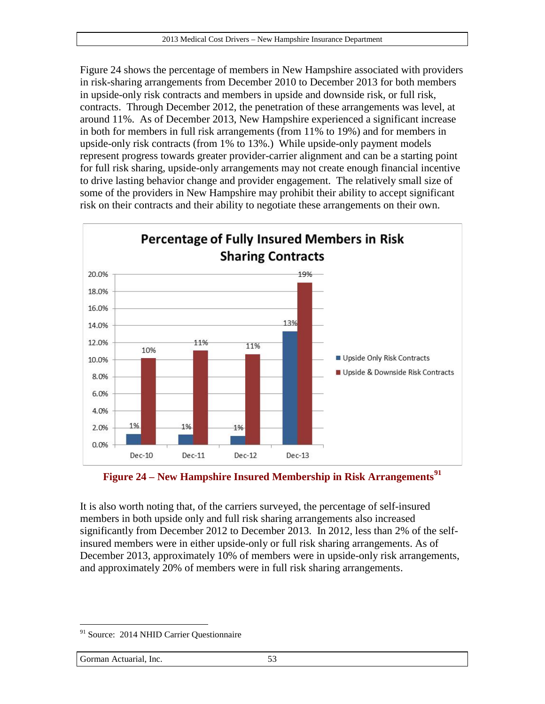[Figure 24](#page-52-0) shows the percentage of members in New Hampshire associated with providers in risk-sharing arrangements from December 2010 to December 2013 for both members in upside-only risk contracts and members in upside and downside risk, or full risk, contracts. Through December 2012, the penetration of these arrangements was level, at around 11%. As of December 2013, New Hampshire experienced a significant increase in both for members in full risk arrangements (from 11% to 19%) and for members in upside-only risk contracts (from 1% to 13%.) While upside-only payment models represent progress towards greater provider-carrier alignment and can be a starting point for full risk sharing, upside-only arrangements may not create enough financial incentive to drive lasting behavior change and provider engagement. The relatively small size of some of the providers in New Hampshire may prohibit their ability to accept significant risk on their contracts and their ability to negotiate these arrangements on their own.



<span id="page-52-0"></span>

It is also worth noting that, of the carriers surveyed, the percentage of self-insured members in both upside only and full risk sharing arrangements also increased significantly from December 2012 to December 2013. In 2012, less than 2% of the selfinsured members were in either upside-only or full risk sharing arrangements. As of December 2013, approximately 10% of members were in upside-only risk arrangements, and approximately 20% of members were in full risk sharing arrangements.

<span id="page-52-1"></span><sup>&</sup>lt;sup>91</sup> Source: 2014 NHID Carrier Questionnaire  $\overline{a}$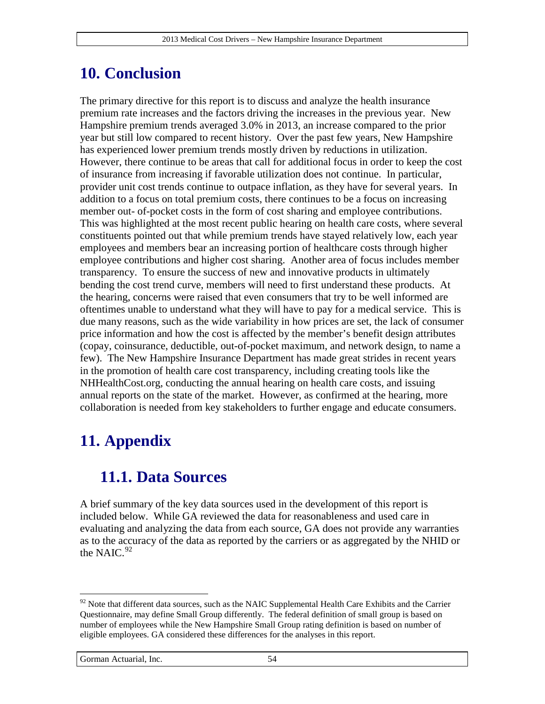### **10. Conclusion**

The primary directive for this report is to discuss and analyze the health insurance premium rate increases and the factors driving the increases in the previous year. New Hampshire premium trends averaged 3.0% in 2013, an increase compared to the prior year but still low compared to recent history. Over the past few years, New Hampshire has experienced lower premium trends mostly driven by reductions in utilization. However, there continue to be areas that call for additional focus in order to keep the cost of insurance from increasing if favorable utilization does not continue. In particular, provider unit cost trends continue to outpace inflation, as they have for several years. In addition to a focus on total premium costs, there continues to be a focus on increasing member out- of-pocket costs in the form of cost sharing and employee contributions. This was highlighted at the most recent public hearing on health care costs, where several constituents pointed out that while premium trends have stayed relatively low, each year employees and members bear an increasing portion of healthcare costs through higher employee contributions and higher cost sharing. Another area of focus includes member transparency. To ensure the success of new and innovative products in ultimately bending the cost trend curve, members will need to first understand these products. At the hearing, concerns were raised that even consumers that try to be well informed are oftentimes unable to understand what they will have to pay for a medical service. This is due many reasons, such as the wide variability in how prices are set, the lack of consumer price information and how the cost is affected by the member's benefit design attributes (copay, coinsurance, deductible, out-of-pocket maximum, and network design, to name a few). The New Hampshire Insurance Department has made great strides in recent years in the promotion of health care cost transparency, including creating tools like the NHHealthCost.org, conducting the annual hearing on health care costs, and issuing annual reports on the state of the market. However, as confirmed at the hearing, more collaboration is needed from key stakeholders to further engage and educate consumers.

# **11. Appendix**

### **11.1. Data Sources**

A brief summary of the key data sources used in the development of this report is included below. While GA reviewed the data for reasonableness and used care in evaluating and analyzing the data from each source, GA does not provide any warranties as to the accuracy of the data as reported by the carriers or as aggregated by the NHID or the NAIC. $92$ 

<span id="page-53-0"></span><sup>&</sup>lt;sup>92</sup> Note that different data sources, such as the NAIC Supplemental Health Care Exhibits and the Carrier Questionnaire, may define Small Group differently. The federal definition of small group is based on number of employees while the New Hampshire Small Group rating definition is based on number of eligible employees. GA considered these differences for the analyses in this report.  $\overline{a}$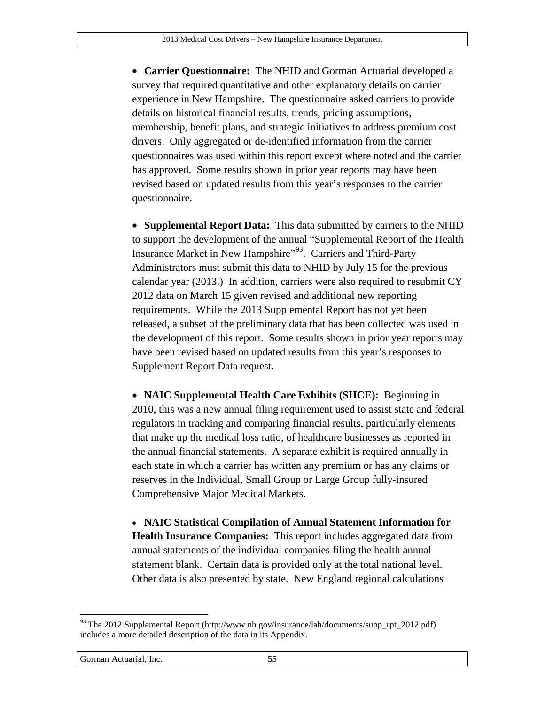• **Carrier Questionnaire:** The NHID and Gorman Actuarial developed a survey that required quantitative and other explanatory details on carrier experience in New Hampshire. The questionnaire asked carriers to provide details on historical financial results, trends, pricing assumptions, membership, benefit plans, and strategic initiatives to address premium cost drivers. Only aggregated or de-identified information from the carrier questionnaires was used within this report except where noted and the carrier has approved. Some results shown in prior year reports may have been revised based on updated results from this year's responses to the carrier questionnaire.

• **Supplemental Report Data:** This data submitted by carriers to the NHID to support the development of the annual "Supplemental Report of the Health Insurance Market in New Hampshire"<sup>[93](#page-54-0)</sup>. Carriers and Third-Party Administrators must submit this data to NHID by July 15 for the previous calendar year (2013.) In addition, carriers were also required to resubmit CY 2012 data on March 15 given revised and additional new reporting requirements. While the 2013 Supplemental Report has not yet been released, a subset of the preliminary data that has been collected was used in the development of this report. Some results shown in prior year reports may have been revised based on updated results from this year's responses to Supplement Report Data request.

• **NAIC Supplemental Health Care Exhibits (SHCE):** Beginning in 2010, this was a new annual filing requirement used to assist state and federal regulators in tracking and comparing financial results, particularly elements that make up the medical loss ratio, of healthcare businesses as reported in the annual financial statements. A separate exhibit is required annually in each state in which a carrier has written any premium or has any claims or reserves in the Individual, Small Group or Large Group fully-insured Comprehensive Major Medical Markets.

• **NAIC Statistical Compilation of Annual Statement Information for Health Insurance Companies:** This report includes aggregated data from annual statements of the individual companies filing the health annual statement blank. Certain data is provided only at the total national level. Other data is also presented by state. New England regional calculations

<span id="page-54-0"></span> $^{93}$  The 2012 Supplemental Report (http://www.nh.gov/insurance/lah/documents/supp\_rpt\_2012.pdf) includes a more detailed description of the data in its Appendix.  $\overline{a}$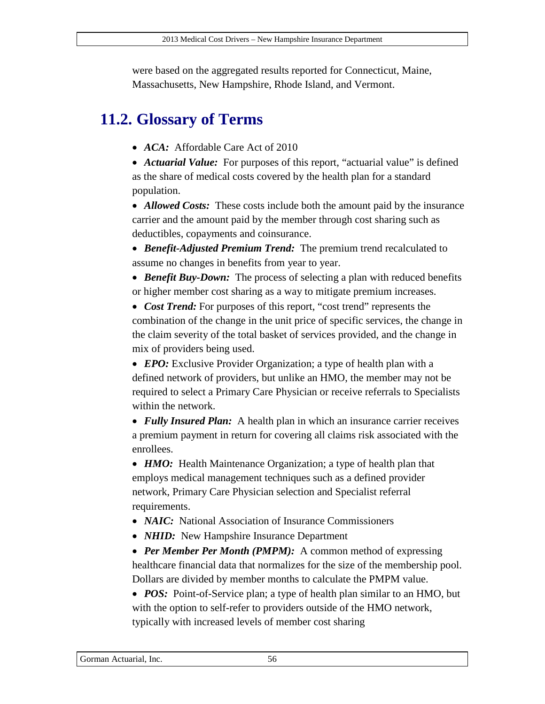were based on the aggregated results reported for Connecticut, Maine, Massachusetts, New Hampshire, Rhode Island, and Vermont.

# **11.2. Glossary of Terms**

• *ACA:* Affordable Care Act of 2010

• *Actuarial Value:* For purposes of this report, "actuarial value" is defined as the share of medical costs covered by the health plan for a standard population.

• *Allowed Costs:* These costs include both the amount paid by the insurance carrier and the amount paid by the member through cost sharing such as deductibles, copayments and coinsurance.

• *Benefit-Adjusted Premium Trend:* The premium trend recalculated to assume no changes in benefits from year to year.

• *Benefit Buy-Down:* The process of selecting a plan with reduced benefits or higher member cost sharing as a way to mitigate premium increases.

• *Cost Trend:* For purposes of this report, "cost trend" represents the combination of the change in the unit price of specific services, the change in the claim severity of the total basket of services provided, and the change in mix of providers being used.

• *EPO:* Exclusive Provider Organization; a type of health plan with a defined network of providers, but unlike an HMO, the member may not be required to select a Primary Care Physician or receive referrals to Specialists within the network.

• *Fully Insured Plan:* A health plan in which an insurance carrier receives a premium payment in return for covering all claims risk associated with the enrollees.

• *HMO*: Health Maintenance Organization; a type of health plan that employs medical management techniques such as a defined provider network, Primary Care Physician selection and Specialist referral requirements.

- *NAIC*: National Association of Insurance Commissioners
- *NHID*: New Hampshire Insurance Department

• *Per Member Per Month (PMPM)*: A common method of expressing healthcare financial data that normalizes for the size of the membership pool. Dollars are divided by member months to calculate the PMPM value.

• *POS*: Point-of-Service plan; a type of health plan similar to an HMO, but with the option to self-refer to providers outside of the HMO network, typically with increased levels of member cost sharing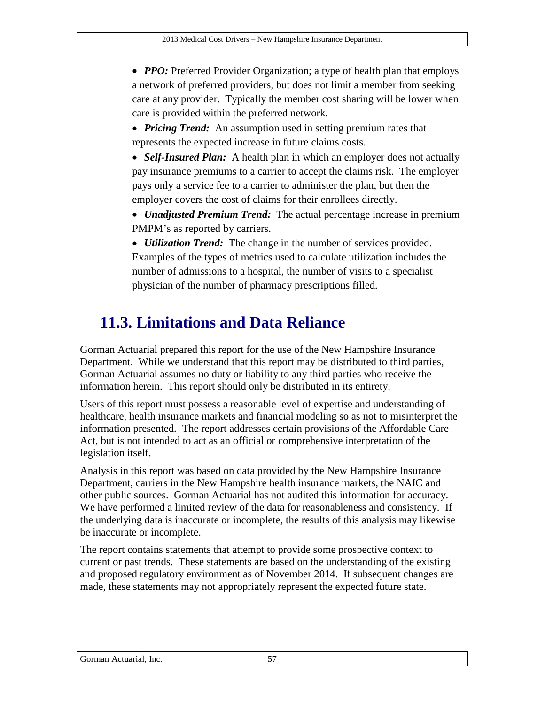• *PPO:* Preferred Provider Organization; a type of health plan that employs a network of preferred providers, but does not limit a member from seeking care at any provider. Typically the member cost sharing will be lower when care is provided within the preferred network.

- *Pricing Trend:* An assumption used in setting premium rates that represents the expected increase in future claims costs.
- *Self-Insured Plan:* A health plan in which an employer does not actually pay insurance premiums to a carrier to accept the claims risk. The employer pays only a service fee to a carrier to administer the plan, but then the employer covers the cost of claims for their enrollees directly.
- *Unadjusted Premium Trend:* The actual percentage increase in premium PMPM's as reported by carriers.
- *Utilization Trend:* The change in the number of services provided. Examples of the types of metrics used to calculate utilization includes the number of admissions to a hospital, the number of visits to a specialist physician of the number of pharmacy prescriptions filled.

# **11.3. Limitations and Data Reliance**

Gorman Actuarial prepared this report for the use of the New Hampshire Insurance Department. While we understand that this report may be distributed to third parties, Gorman Actuarial assumes no duty or liability to any third parties who receive the information herein. This report should only be distributed in its entirety.

Users of this report must possess a reasonable level of expertise and understanding of healthcare, health insurance markets and financial modeling so as not to misinterpret the information presented. The report addresses certain provisions of the Affordable Care Act, but is not intended to act as an official or comprehensive interpretation of the legislation itself.

Analysis in this report was based on data provided by the New Hampshire Insurance Department, carriers in the New Hampshire health insurance markets, the NAIC and other public sources. Gorman Actuarial has not audited this information for accuracy. We have performed a limited review of the data for reasonableness and consistency. If the underlying data is inaccurate or incomplete, the results of this analysis may likewise be inaccurate or incomplete.

The report contains statements that attempt to provide some prospective context to current or past trends. These statements are based on the understanding of the existing and proposed regulatory environment as of November 2014. If subsequent changes are made, these statements may not appropriately represent the expected future state.